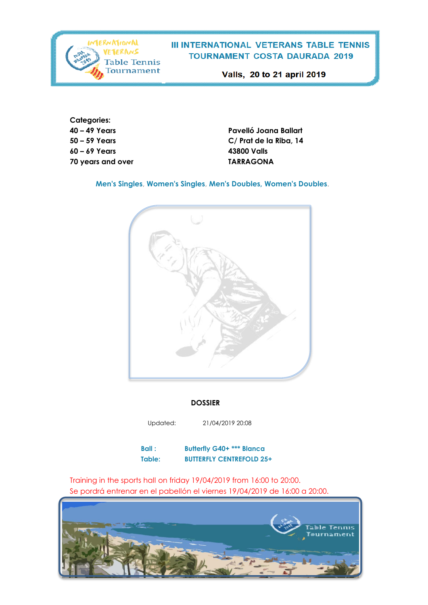

Valls, 20 to 21 april 2019

**Categories: 60 – 69 Years 43800 Valls 70 years and over TARRAGONA**

**40 – 49 Years Pavelló Joana Ballart 50 – 59 Years C/ Prat de la Riba, 14**

**Men's Singles**, **Women's Singles**, **Men's Doubles, Women's Doubles**.



#### **DOSSIER**

Updated: 21/04/2019 20:08

**Ball : Butterfly G40+ \*\*\* Blanca Table: BUTTERFLY CENTREFOLD 25+**

Training in the sports hall on friday 19/04/2019 from 16:00 to 20:00. Se pordrá entrenar en el pabellón el viernes 19/04/2019 de 16:00 a 20:00.

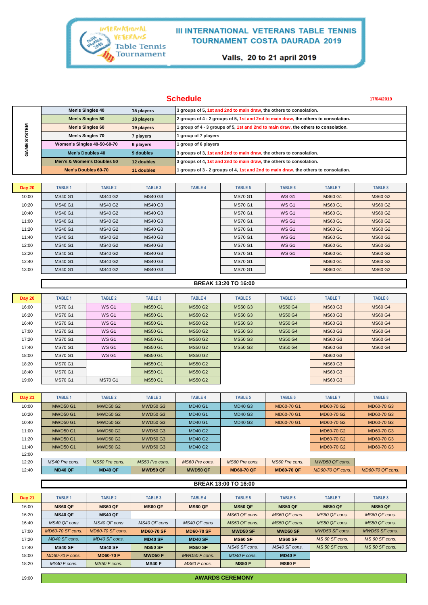

Valls, 20 to 21 april 2019

## **Schedule**

**17/04/2019**

|             | Men's Singles 40                         | 15 players | 3 groups of 5, 1st and 2nd to main draw, the others to consolation.                 |  |  |  |
|-------------|------------------------------------------|------------|-------------------------------------------------------------------------------------|--|--|--|
|             | <b>Men's Singles 50</b>                  | 18 players | 2 groups of 4 - 2 groups of 5, 1st and 2nd to main draw, the others to consolation. |  |  |  |
| <b>STEM</b> | <b>Men's Singles 60</b>                  | 19 players | 1 group of 4 - 3 groups of 5, 1st and 2nd to main draw, the others to consolation.  |  |  |  |
| 6<br>ш<br>O | Men's Singles 70<br>7 players            |            | 1 group of 7 players                                                                |  |  |  |
|             | Women's Singles 40-50-60-70<br>6 players |            | 1 group of 6 players                                                                |  |  |  |
|             | Men's Doubles 40                         | 9 doubles  | 3 groups of 3, 1st and 2nd to main draw, the others to consolation.                 |  |  |  |
|             | Men's & Women's Doubles 50               | 12 doubles | 3 groups of 4, 1st and 2nd to main draw, the others to consolation.                 |  |  |  |
|             | Men's Doubles 60-70                      | 11 doubles | 1 groups of 3 - 2 groups of 4, 1st and 2nd to main draw, the others to consolation. |  |  |  |

| <b>Day 20</b> | <b>TABLE 1</b> | <b>TABLE 2</b> | <b>TABLE 3</b> | <b>TABLE 4</b> | <b>TABLE 5</b> | TABLE 6 | <b>TABLE 7</b> | <b>TABLE 8</b> |
|---------------|----------------|----------------|----------------|----------------|----------------|---------|----------------|----------------|
| 10:00         | <b>MS40 G1</b> | <b>MS40 G2</b> | <b>MS40 G3</b> |                | <b>MS70 G1</b> | WS G1   | <b>MS60 G1</b> | <b>MS60 G2</b> |
| 10:20         | <b>MS40 G1</b> | <b>MS40 G2</b> | <b>MS40 G3</b> |                | <b>MS70 G1</b> | WS G1   | <b>MS60 G1</b> | <b>MS60 G2</b> |
| 10:40         | <b>MS40 G1</b> | <b>MS40 G2</b> | <b>MS40 G3</b> |                | <b>MS70 G1</b> | WS G1   | <b>MS60 G1</b> | <b>MS60 G2</b> |
| 11:00         | <b>MS40 G1</b> | <b>MS40 G2</b> | <b>MS40 G3</b> |                | <b>MS70 G1</b> | WS G1   | <b>MS60 G1</b> | <b>MS60 G2</b> |
| 11:20         | <b>MS40 G1</b> | <b>MS40 G2</b> | <b>MS40 G3</b> |                | <b>MS70 G1</b> | WS G1   | <b>MS60 G1</b> | <b>MS60 G2</b> |
| 11:40         | <b>MS40 G1</b> | <b>MS40 G2</b> | <b>MS40 G3</b> |                | <b>MS70 G1</b> | WS G1   | <b>MS60 G1</b> | <b>MS60 G2</b> |
| 12:00         | <b>MS40 G1</b> | <b>MS40 G2</b> | <b>MS40 G3</b> |                | <b>MS70 G1</b> | WS G1   | <b>MS60 G1</b> | <b>MS60 G2</b> |
| 12:20         | <b>MS40 G1</b> | <b>MS40 G2</b> | <b>MS40 G3</b> |                | <b>MS70 G1</b> | WS G1   | <b>MS60 G1</b> | <b>MS60 G2</b> |
| 12:40         | <b>MS40 G1</b> | <b>MS40 G2</b> | <b>MS40 G3</b> |                | <b>MS70 G1</b> |         | <b>MS60 G1</b> | <b>MS60 G2</b> |
| 13:00         | <b>MS40 G1</b> | <b>MS40 G2</b> | <b>MS40 G3</b> |                | <b>MS70 G1</b> |         | <b>MS60 G1</b> | <b>MS60 G2</b> |

|               | <b>BREAK 13:20 TO 16:00</b> |                |                |                |                |                |                |                |  |  |
|---------------|-----------------------------|----------------|----------------|----------------|----------------|----------------|----------------|----------------|--|--|
|               |                             |                |                |                |                |                |                |                |  |  |
| <b>Day 20</b> | <b>TABLE 1</b>              | <b>TABLE 2</b> | <b>TABLE 3</b> | <b>TABLE 4</b> | <b>TABLE 5</b> | <b>TABLE 6</b> | <b>TABLE 7</b> | <b>TABLE 8</b> |  |  |
| 16:00         | <b>MS70 G1</b>              | WS G1          | <b>MS50 G1</b> | <b>MS50 G2</b> | <b>MS50 G3</b> | <b>MS50 G4</b> | <b>MS60 G3</b> | <b>MS60 G4</b> |  |  |
| 16:20         | <b>MS70 G1</b>              | WS G1          | <b>MS50 G1</b> | <b>MS50 G2</b> | <b>MS50 G3</b> | <b>MS50 G4</b> | <b>MS60 G3</b> | <b>MS60 G4</b> |  |  |
| 16:40         | <b>MS70 G1</b>              | WS G1          | <b>MS50 G1</b> | <b>MS50 G2</b> | <b>MS50 G3</b> | <b>MS50 G4</b> | <b>MS60 G3</b> | <b>MS60 G4</b> |  |  |
| 17:00         | <b>MS70 G1</b>              | WS G1          | <b>MS50 G1</b> | <b>MS50 G2</b> | <b>MS50 G3</b> | <b>MS50 G4</b> | <b>MS60 G3</b> | <b>MS60 G4</b> |  |  |
| 17:20         | <b>MS70 G1</b>              | WS G1          | <b>MS50 G1</b> | <b>MS50 G2</b> | <b>MS50 G3</b> | <b>MS50 G4</b> | <b>MS60 G3</b> | <b>MS60 G4</b> |  |  |
| 17:40         | <b>MS70 G1</b>              | WS G1          | <b>MS50 G1</b> | <b>MS50 G2</b> | <b>MS50 G3</b> | <b>MS50 G4</b> | <b>MS60 G3</b> | <b>MS60 G4</b> |  |  |
| 18:00         | <b>MS70 G1</b>              | WS G1          | <b>MS50 G1</b> | <b>MS50 G2</b> |                |                | <b>MS60 G3</b> |                |  |  |
| 18:20         | <b>MS70 G1</b>              |                | <b>MS50 G1</b> | <b>MS50 G2</b> |                |                | <b>MS60 G3</b> |                |  |  |
| 18:40         | <b>MS70 G1</b>              |                | <b>MS50 G1</b> | <b>MS50 G2</b> |                |                | <b>MS60 G3</b> |                |  |  |
| 19:00         | <b>MS70 G1</b>              | <b>MS70 G1</b> | <b>MS50 G1</b> | <b>MS50 G2</b> |                |                | <b>MS60 G3</b> |                |  |  |

| <b>Day 21</b> | <b>TABLE 1</b>  | <b>TABLE 2</b>  | <b>TABLE 3</b>  | <b>TABLE 4</b> | <b>TABLE 5</b>   | <b>TABLE 6</b> | <b>TABLE 7</b>  | <b>TABLE 8</b> |
|---------------|-----------------|-----------------|-----------------|----------------|------------------|----------------|-----------------|----------------|
| 10:00         | <b>MWD50 G1</b> | <b>MWD50 G2</b> | <b>MWD50 G3</b> | <b>MD40 G1</b> | <b>MD40 G3</b>   | MD60-70 G1     | MD60-70 G2      | MD60-70 G3     |
| 10:20         | <b>MWD50 G1</b> | <b>MWD50 G2</b> | <b>MWD50 G3</b> | <b>MD40 G1</b> | <b>MD40 G3</b>   |                | MD60-70 G2      | MD60-70 G3     |
| 10:40         | <b>MWD50 G1</b> | <b>MWD50 G2</b> | <b>MWD50 G3</b> | <b>MD40 G1</b> | <b>MD40 G3</b>   | MD60-70 G1     | MD60-70 G2      | MD60-70 G3     |
| 11:00         | <b>MWD50 G1</b> | <b>MWD50 G2</b> | <b>MWD50 G3</b> | <b>MD40 G2</b> |                  |                | MD60-70 G2      | MD60-70 G3     |
| 11:20         | <b>MWD50 G1</b> | <b>MWD50 G2</b> | <b>MWD50 G3</b> | <b>MD40 G2</b> |                  |                | MD60-70 G2      | MD60-70 G3     |
| 11:40         | <b>MWD50 G1</b> | <b>MWD50 G2</b> | <b>MWD50 G3</b> | <b>MD40 G2</b> |                  |                | MD60-70 G2      | MD60-70 G3     |
| 12:00         |                 |                 |                 |                |                  |                |                 |                |
| 12.20         | $MS40$ Pre cons | $MSSO$ Pre cons | $MSSO$ Pre cons | MS60 Pre cons  | $M.S60$ Pre cons | MS60 Pre cons  | $MWD50$ OF cons |                |

| 12:20 | MS40 Pre cons.              | MS50 Pre cons. | MS50 Pre cons. | MS60 Pre cons. | MS60 Pre cons.    | MS60 Pre cons.    | MWD50 QF cons.   |                  |  |  |  |
|-------|-----------------------------|----------------|----------------|----------------|-------------------|-------------------|------------------|------------------|--|--|--|
| 12:40 | <b>MD40 OF</b>              | <b>MD40 OF</b> | MWD50 QF       | MWD50 OF       | <b>MD60-70 QF</b> | <b>MD60-70 OF</b> | MD60-70 QF cons. | MD60-70 QF cons. |  |  |  |
|       |                             |                |                |                |                   |                   |                  |                  |  |  |  |
|       | <b>BREAK 13:00 TO 16:00</b> |                |                |                |                   |                   |                  |                  |  |  |  |

| <b>Day 21</b> | <b>TABLE 1</b>   | <b>TABLE 2</b>   | <b>TABLE 3</b>    | <b>TABLE 4</b>    | <b>TABLE 5</b>  | TABLE 6         | <b>TABLE 7</b> | <b>TABLE 8</b> |
|---------------|------------------|------------------|-------------------|-------------------|-----------------|-----------------|----------------|----------------|
| 16:00         | <b>MS60 OF</b>   | <b>MS60 QF</b>   | MS60 QF           | <b>MS60 QF</b>    | <b>MS50 QF</b>  | <b>MS50 QF</b>  | <b>MS50 QF</b> | <b>MS50 QF</b> |
| 16:20         | <b>MS40 OF</b>   | <b>MS40 QF</b>   |                   |                   | MS60 QF cons.   | MS60 QF cons.   | MS60 QF cons.  | MS60 QF cons.  |
| 16:40         | MS40 QF cons     | MS40 QF cons     | MS40 QF cons      | MS40 QF cons      | MS50 QF cons.   | MS50 OF cons.   | MS50 QF cons.  | MS50 QF cons.  |
| 17:00         | MD60-70 SF cons. | MD60-70 SF cons. | <b>MD60-70 SF</b> | <b>MD60-70 SF</b> | <b>MWD50 SF</b> | <b>MWD50 SF</b> | MWD50 SF cons. | MWD50 SF cons. |
| 17:20         | MD40 SF cons.    | MD40 SF cons.    | MD40 SF           | MD40 SF           | <b>MS60 SF</b>  | <b>MS60 SF</b>  | MS 60 SF cons. | MS 60 SF cons. |
| 17:40         | <b>MS40 SF</b>   | <b>MS40 SF</b>   | <b>MS50 SF</b>    | <b>MS50 SF</b>    | MS40 SF cons.   | MS40 SF cons.   | MS 50 SF cons. | MS 50 SF cons. |
| 18:00         | MD60-70 F cons.  | <b>MD60-70 F</b> | <b>MWD50 F</b>    | MWD50 F cons.     | MD40 F cons.    | <b>MD40 F</b>   |                |                |
| 18:20         | MS40 F cons.     | MS50 F cons.     | <b>MS40 F</b>     | MS60 F cons.      | <b>MS50 F</b>   | <b>MS60 F</b>   |                |                |

**AWARDS CEREMONY**

19:00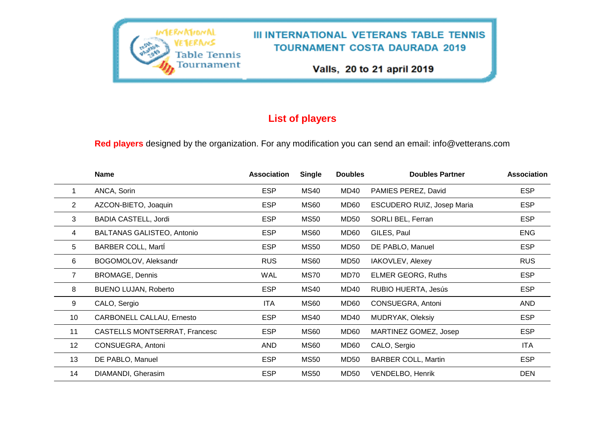

# **List of players**

**Red players** designed by the organization. For any modification you can send an email: info@vetterans.com

|                   | <b>Name</b>                       | <b>Association</b> | <b>Single</b> | <b>Doubles</b>   | <b>Doubles Partner</b>     | <b>Association</b> |
|-------------------|-----------------------------------|--------------------|---------------|------------------|----------------------------|--------------------|
| 1                 | ANCA, Sorin                       | <b>ESP</b>         | <b>MS40</b>   | MD40             | PAMIES PEREZ, David        | <b>ESP</b>         |
| $\overline{2}$    | AZCON-BIETO, Joaquin              | <b>ESP</b>         | <b>MS60</b>   | MD60             | ESCUDERO RUIZ, Josep Maria | <b>ESP</b>         |
| 3                 | <b>BADIA CASTELL, Jordi</b>       | <b>ESP</b>         | <b>MS50</b>   | <b>MD50</b>      | SORLI BEL, Ferran          | <b>ESP</b>         |
| 4                 | <b>BALTANAS GALISTEO, Antonio</b> | <b>ESP</b>         | <b>MS60</b>   | MD60             | GILES, Paul                | <b>ENG</b>         |
| 5                 | <b>BARBER COLL, Marti</b>         | <b>ESP</b>         | <b>MS50</b>   | <b>MD50</b>      | DE PABLO, Manuel           | <b>ESP</b>         |
| 6                 | BOGOMOLOV, Aleksandr              | <b>RUS</b>         | <b>MS60</b>   | <b>MD50</b>      | IAKOVLEV, Alexey           | <b>RUS</b>         |
| $\overline{7}$    | <b>BROMAGE, Dennis</b>            | <b>WAL</b>         | MS70          | MD70             | <b>ELMER GEORG, Ruths</b>  | <b>ESP</b>         |
| 8                 | <b>BUENO LUJAN, Roberto</b>       | <b>ESP</b>         | <b>MS40</b>   | MD40             | RUBIO HUERTA, Jesús        | <b>ESP</b>         |
| 9                 | CALO, Sergio                      | ITA.               | <b>MS60</b>   | MD60             | CONSUEGRA, Antoni          | <b>AND</b>         |
| 10                | CARBONELL CALLAU, Ernesto         | <b>ESP</b>         | <b>MS40</b>   | MD40             | <b>MUDRYAK, Oleksiy</b>    | <b>ESP</b>         |
| 11                | CASTELLS MONTSERRAT, Francesc     | <b>ESP</b>         | <b>MS60</b>   | MD <sub>60</sub> | MARTINEZ GOMEZ, Josep      | <b>ESP</b>         |
| $12 \overline{ }$ | CONSUEGRA, Antoni                 | AND                | <b>MS60</b>   | MD60             | CALO, Sergio               | ITA                |
| 13                | DE PABLO, Manuel                  | <b>ESP</b>         | <b>MS50</b>   | <b>MD50</b>      | <b>BARBER COLL, Martin</b> | <b>ESP</b>         |
| 14                | DIAMANDI, Gherasim                | <b>ESP</b>         | <b>MS50</b>   | <b>MD50</b>      | VENDELBO, Henrik           | <b>DEN</b>         |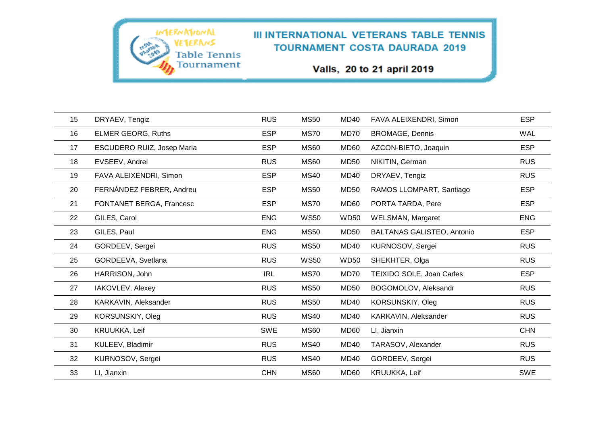Valls, 20 to 21 april 2019

| 15 | DRYAEV, Tengiz             | <b>RUS</b> | <b>MS50</b> | <b>MD40</b>      | FAVA ALEIXENDRI, Simon            | <b>ESP</b> |
|----|----------------------------|------------|-------------|------------------|-----------------------------------|------------|
| 16 | <b>ELMER GEORG, Ruths</b>  | <b>ESP</b> | <b>MS70</b> | MD70             | <b>BROMAGE, Dennis</b>            | <b>WAL</b> |
| 17 | ESCUDERO RUIZ, Josep Maria | <b>ESP</b> | <b>MS60</b> | <b>MD60</b>      | AZCON-BIETO, Joaquin              | <b>ESP</b> |
| 18 | EVSEEV, Andrei             | <b>RUS</b> | <b>MS60</b> | <b>MD50</b>      | NIKITIN, German                   | <b>RUS</b> |
| 19 | FAVA ALEIXENDRI, Simon     | <b>ESP</b> | <b>MS40</b> | <b>MD40</b>      | DRYAEV, Tengiz                    | <b>RUS</b> |
| 20 | FERNÁNDEZ FEBRER, Andreu   | <b>ESP</b> | <b>MS50</b> | <b>MD50</b>      | RAMOS LLOMPART, Santiago          | <b>ESP</b> |
| 21 | FONTANET BERGA, Francesc   | <b>ESP</b> | <b>MS70</b> | MD <sub>60</sub> | PORTA TARDA, Pere                 | <b>ESP</b> |
| 22 | GILES, Carol               | <b>ENG</b> | <b>WS50</b> | <b>WD50</b>      | WELSMAN, Margaret                 | <b>ENG</b> |
| 23 | GILES, Paul                | <b>ENG</b> | <b>MS50</b> | <b>MD50</b>      | <b>BALTANAS GALISTEO, Antonio</b> | <b>ESP</b> |
| 24 | GORDEEV, Sergei            | <b>RUS</b> | <b>MS50</b> | <b>MD40</b>      | KURNOSOV, Sergei                  | <b>RUS</b> |
| 25 | GORDEEVA, Svetlana         | <b>RUS</b> | <b>WS50</b> | <b>WD50</b>      | SHEKHTER, Olga                    | <b>RUS</b> |
| 26 | HARRISON, John             | <b>IRL</b> | <b>MS70</b> | MD70             | TEIXIDO SOLE, Joan Carles         | <b>ESP</b> |
| 27 | IAKOVLEV, Alexey           | <b>RUS</b> | <b>MS50</b> | <b>MD50</b>      | BOGOMOLOV, Aleksandr              | <b>RUS</b> |
| 28 | KARKAVIN, Aleksander       | <b>RUS</b> | <b>MS50</b> | <b>MD40</b>      | KORSUNSKIY, Oleg                  | <b>RUS</b> |
| 29 | KORSUNSKIY, Oleg           | <b>RUS</b> | <b>MS40</b> | <b>MD40</b>      | KARKAVIN, Aleksander              | <b>RUS</b> |
| 30 | KRUUKKA, Leif              | <b>SWE</b> | <b>MS60</b> | MD <sub>60</sub> | LI, Jianxin                       | <b>CHN</b> |
| 31 | KULEEV, Bladimir           | <b>RUS</b> | <b>MS40</b> | <b>MD40</b>      | TARASOV, Alexander                | <b>RUS</b> |
| 32 | KURNOSOV, Sergei           | <b>RUS</b> | <b>MS40</b> | <b>MD40</b>      | GORDEEV, Sergei                   | <b>RUS</b> |
| 33 | LI, Jianxin                | <b>CHN</b> | <b>MS60</b> | <b>MD60</b>      | KRUUKKA, Leif                     | SWE        |

**IMERNATIONAL** 

VETERANS

**Table Tennis** Tournament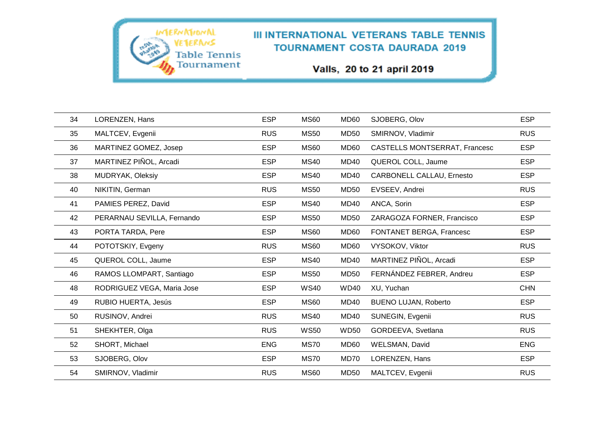Valls, 20 to 21 april 2019

| 34 | LORENZEN, Hans             | <b>ESP</b> | <b>MS60</b> | MD60        | SJOBERG, Olov                    | <b>ESP</b> |
|----|----------------------------|------------|-------------|-------------|----------------------------------|------------|
| 35 | MALTCEV, Evgenii           | <b>RUS</b> | <b>MS50</b> | MD50        | SMIRNOV, Vladimir                | <b>RUS</b> |
| 36 | MARTINEZ GOMEZ, Josep      | <b>ESP</b> | <b>MS60</b> | MD60        | CASTELLS MONTSERRAT, Francesc    | <b>ESP</b> |
| 37 | MARTINEZ PIÑOL, Arcadi     | <b>ESP</b> | <b>MS40</b> | <b>MD40</b> | QUEROL COLL, Jaume               | <b>ESP</b> |
| 38 | MUDRYAK, Oleksiy           | <b>ESP</b> | <b>MS40</b> | MD40        | <b>CARBONELL CALLAU, Ernesto</b> | <b>ESP</b> |
| 40 | NIKITIN, German            | <b>RUS</b> | <b>MS50</b> | MD50        | EVSEEV, Andrei                   | <b>RUS</b> |
| 41 | PAMIES PEREZ, David        | <b>ESP</b> | <b>MS40</b> | <b>MD40</b> | ANCA, Sorin                      | <b>ESP</b> |
| 42 | PERARNAU SEVILLA, Fernando | <b>ESP</b> | <b>MS50</b> | <b>MD50</b> | ZARAGOZA FORNER, Francisco       | <b>ESP</b> |
| 43 | PORTA TARDA, Pere          | <b>ESP</b> | <b>MS60</b> | <b>MD60</b> | FONTANET BERGA, Francesc         | <b>ESP</b> |
| 44 | POTOTSKIY, Evgeny          | <b>RUS</b> | <b>MS60</b> | MD60        | VYSOKOV, Viktor                  | <b>RUS</b> |
| 45 | QUEROL COLL, Jaume         | <b>ESP</b> | <b>MS40</b> | MD40        | MARTINEZ PIÑOL, Arcadi           | <b>ESP</b> |
| 46 | RAMOS LLOMPART, Santiago   | <b>ESP</b> | <b>MS50</b> | <b>MD50</b> | FERNÁNDEZ FEBRER, Andreu         | <b>ESP</b> |
| 48 | RODRIGUEZ VEGA, Maria Jose | <b>ESP</b> | <b>WS40</b> | <b>WD40</b> | XU, Yuchan                       | <b>CHN</b> |
| 49 | RUBIO HUERTA, Jesús        | <b>ESP</b> | <b>MS60</b> | MD40        | <b>BUENO LUJAN, Roberto</b>      | <b>ESP</b> |
| 50 | RUSINOV, Andrei            | <b>RUS</b> | <b>MS40</b> | <b>MD40</b> | SUNEGIN, Evgenii                 | <b>RUS</b> |
| 51 | SHEKHTER, Olga             | <b>RUS</b> | <b>WS50</b> | <b>WD50</b> | GORDEEVA, Svetlana               | <b>RUS</b> |
| 52 | SHORT, Michael             | <b>ENG</b> | <b>MS70</b> | MD60        | <b>WELSMAN, David</b>            | <b>ENG</b> |
| 53 | SJOBERG, Olov              | <b>ESP</b> | <b>MS70</b> | MD70        | LORENZEN, Hans                   | <b>ESP</b> |
| 54 | SMIRNOV, Vladimir          | <b>RUS</b> | <b>MS60</b> | <b>MD50</b> | MALTCEV, Evgenii                 | <b>RUS</b> |

**IMERNATIONAL** 

VETERANS

**Table Tennis** Tournament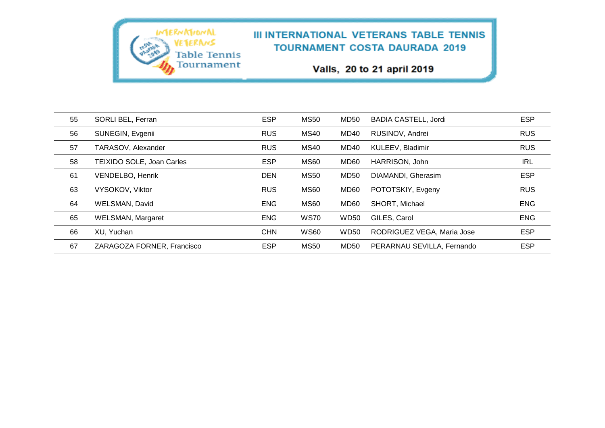Valls, 20 to 21 april 2019

| 55 | SORLI BEL, Ferran          | <b>ESP</b> | <b>MS50</b> | <b>MD50</b> | <b>BADIA CASTELL, Jordi</b> | <b>ESP</b> |
|----|----------------------------|------------|-------------|-------------|-----------------------------|------------|
| 56 | SUNEGIN, Evgenii           | <b>RUS</b> | <b>MS40</b> | MD40        | RUSINOV, Andrei             | <b>RUS</b> |
| 57 | TARASOV, Alexander         | <b>RUS</b> | <b>MS40</b> | MD40        | KULEEV, Bladimir            | <b>RUS</b> |
| 58 | TEIXIDO SOLE, Joan Carles  | <b>ESP</b> | <b>MS60</b> | MD60        | HARRISON, John              | <b>IRL</b> |
| 61 | VENDELBO, Henrik           | <b>DEN</b> | <b>MS50</b> | <b>MD50</b> | DIAMANDI, Gherasim          | <b>ESP</b> |
| 63 | VYSOKOV, Viktor            | <b>RUS</b> | <b>MS60</b> | MD60        | POTOTSKIY, Evgeny           | <b>RUS</b> |
| 64 | WELSMAN, David             | <b>ENG</b> | <b>MS60</b> | MD60        | SHORT, Michael              | <b>ENG</b> |
| 65 | <b>WELSMAN, Margaret</b>   | <b>ENG</b> | <b>WS70</b> | <b>WD50</b> | GILES, Carol                | <b>ENG</b> |
| 66 | XU, Yuchan                 | <b>CHN</b> | <b>WS60</b> | <b>WD50</b> | RODRIGUEZ VEGA, Maria Jose  | <b>ESP</b> |
| 67 | ZARAGOZA FORNER, Francisco | <b>ESP</b> | <b>MS50</b> | <b>MD50</b> | PERARNAU SEVILLA, Fernando  | <b>ESP</b> |

**IMERNATIONAL** 

VETERANS

**Table Tennis** Tournament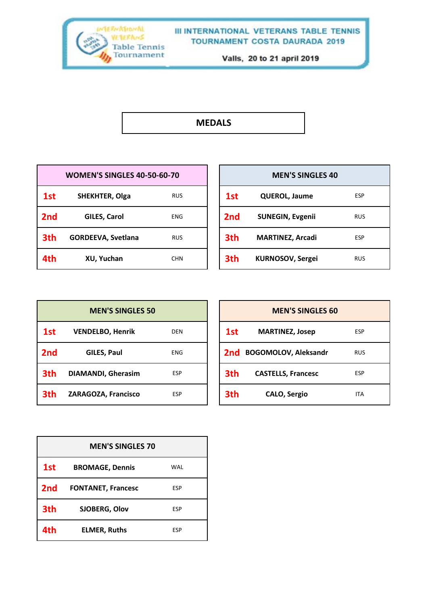

Valls, 20 to 21 april 2019

# **MEDALS**

|     | <b>WOMEN'S SINGLES 40-50-60-70</b> |            |                 | <b>MEN'S SINGLES 40</b> |            |
|-----|------------------------------------|------------|-----------------|-------------------------|------------|
| 1st | <b>SHEKHTER, Olga</b>              | <b>RUS</b> | 1st             | <b>QUEROL, Jaume</b>    | ESP        |
| 2nd | <b>GILES, Carol</b>                | <b>ENG</b> | 2 <sub>nd</sub> | <b>SUNEGIN, Evgenii</b> | <b>RUS</b> |
| 3th | <b>GORDEEVA, Svetlana</b>          | <b>RUS</b> | 3th             | <b>MARTINEZ, Arcadi</b> | ESP        |
| 4th | XU, Yuchan                         | <b>CHN</b> | 3th             | <b>KURNOSOV, Sergei</b> | <b>RUS</b> |

| <b>MEN'S SINGLES 40</b> |                         |            |  |  |  |  |
|-------------------------|-------------------------|------------|--|--|--|--|
| 1st                     | <b>QUEROL, Jaume</b>    | <b>ESP</b> |  |  |  |  |
| 2nd                     | <b>SUNEGIN, Evgenii</b> | <b>RUS</b> |  |  |  |  |
| 3th                     | <b>MARTINEZ, Arcadi</b> | <b>ESP</b> |  |  |  |  |
| 3th                     | <b>KURNOSOV, Sergei</b> | <b>RUS</b> |  |  |  |  |

| <b>MEN'S SINGLES 50</b> |                           |            | <b>MEN'S SINGLES 60</b> |                             |            |
|-------------------------|---------------------------|------------|-------------------------|-----------------------------|------------|
| 1st                     | <b>VENDELBO, Henrik</b>   | <b>DEN</b> | 1st                     | <b>MARTINEZ, Josep</b>      | <b>ESP</b> |
| 2nd                     | GILES, Paul               | <b>ENG</b> | 2nd                     | <b>BOGOMOLOV, Aleksandr</b> | RUS        |
| 3th                     | <b>DIAMANDI, Gherasim</b> | <b>ESP</b> | 3th                     | <b>CASTELLS, Francesc</b>   | <b>ESP</b> |
| 3th                     | ZARAGOZA, Francisco       | <b>ESP</b> | 3th                     | <b>CALO, Sergio</b>         | <b>ITA</b> |

| <b>MEN'S SINGLES 70</b> |                           |            |
|-------------------------|---------------------------|------------|
| 1st                     | <b>BROMAGE, Dennis</b>    | <b>WAL</b> |
| 2 <sub>nd</sub>         | <b>FONTANET, Francesc</b> | <b>ESP</b> |
| 3th                     | SJOBERG, Olov             | <b>ESP</b> |
| 4th                     | <b>ELMER, Ruths</b>       | ESP        |

| <b>MEN'S SINGLES 60</b> |                           |            |
|-------------------------|---------------------------|------------|
| 1st                     | <b>MARTINEZ, Josep</b>    | <b>ESP</b> |
|                         | 2nd BOGOMOLOV, Aleksandr  | <b>RUS</b> |
| 3th                     | <b>CASTELLS, Francesc</b> | <b>ESP</b> |
| 3th                     | <b>CALO, Sergio</b>       | ITA        |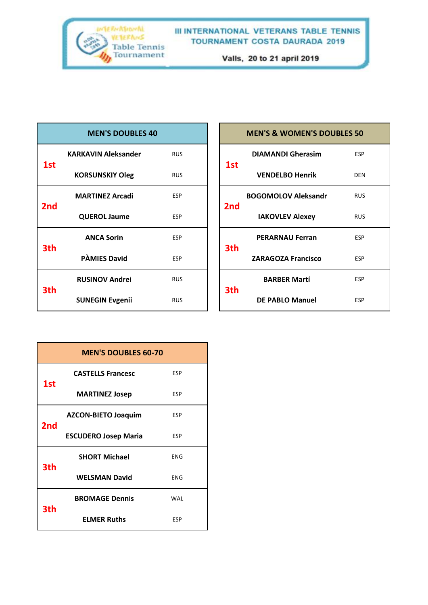

| <b>MEN'S DOUBLES 40</b> |                            |            |
|-------------------------|----------------------------|------------|
|                         | <b>KARKAVIN Aleksander</b> | <b>RUS</b> |
| 1st                     | <b>KORSUNSKIY Oleg</b>     | <b>RUS</b> |
| 2nd                     | <b>MARTINEZ Arcadi</b>     | <b>ESP</b> |
|                         | <b>QUEROL Jaume</b>        | <b>ESP</b> |
| 3th                     | <b>ANCA Sorin</b>          | <b>ESP</b> |
|                         | <b>PAMIES David</b>        | <b>ESP</b> |
| 3th                     | <b>RUSINOV Andrei</b>      | <b>RUS</b> |
|                         | <b>SUNEGIN Evgenii</b>     | <b>RUS</b> |

| <b>MEN'S &amp; WOMEN'S DOUBLES 50</b> |                            |            |
|---------------------------------------|----------------------------|------------|
| 1st                                   | <b>DIAMANDI Gherasim</b>   | <b>ESP</b> |
|                                       | <b>VENDELBO Henrik</b>     | DEN        |
| 2 <sub>nd</sub>                       | <b>BOGOMOLOV Aleksandr</b> | <b>RUS</b> |
|                                       | <b>IAKOVLEV Alexey</b>     | RUS        |
| 3th                                   | <b>PERARNAU Ferran</b>     | <b>ESP</b> |
|                                       | <b>ZARAGOZA Francisco</b>  | <b>ESP</b> |
| 3th                                   | <b>BARBER Martí</b>        | <b>ESP</b> |
|                                       | <b>DE PABLO Manuel</b>     | <b>FSP</b> |

| <b>MEN'S DOUBLES 60-70</b> |                             |            |
|----------------------------|-----------------------------|------------|
|                            | <b>CASTELLS Francesc</b>    | <b>ESP</b> |
| 1st                        | <b>MARTINEZ Josep</b>       | <b>ESP</b> |
| 2 <sub>nd</sub>            | <b>AZCON-BIETO Joaquim</b>  | <b>ESP</b> |
|                            | <b>ESCUDERO Josep Maria</b> | <b>FSP</b> |
| 3th                        | <b>SHORT Michael</b>        | <b>FNG</b> |
|                            | <b>WELSMAN David</b>        | <b>ENG</b> |
| 3th                        | <b>BROMAGE Dennis</b>       | WAI        |
|                            | <b>ELMER Ruths</b>          | <b>ESP</b> |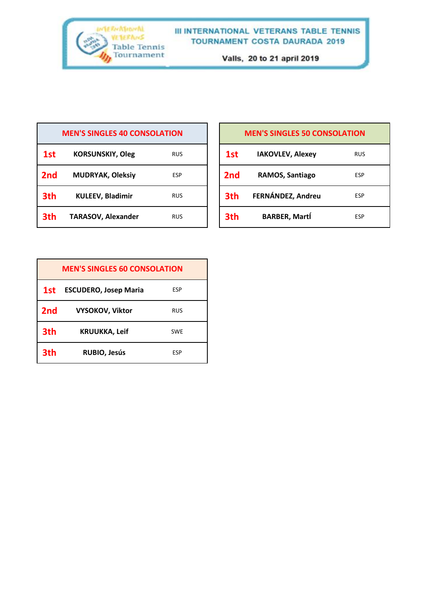

| <b>MEN'S SINGLES 40 CONSOLATION</b> |                           |            |
|-------------------------------------|---------------------------|------------|
| 1st                                 | <b>KORSUNSKIY, Oleg</b>   | <b>RUS</b> |
| 2 <sub>nd</sub>                     | <b>MUDRYAK, Oleksiy</b>   | <b>ESP</b> |
| 3th                                 | <b>KULEEV, Bladimir</b>   | <b>RUS</b> |
| 3th                                 | <b>TARASOV, Alexander</b> | <b>RUS</b> |

| <b>MEN'S SINGLES 50 CONSOLATION</b> |                         |            |
|-------------------------------------|-------------------------|------------|
| 1st                                 | <b>IAKOVLEV, Alexey</b> | <b>RUS</b> |
| 2 <sub>nd</sub>                     | RAMOS, Santiago         | <b>ESP</b> |
| 3th                                 | FERNÁNDEZ, Andreu       | <b>ESP</b> |
| 3th                                 | <b>BARBER, Martí</b>    | <b>ESP</b> |
|                                     |                         |            |

| <b>MEN'S SINGLES 60 CONSOLATION</b> |                              |            |
|-------------------------------------|------------------------------|------------|
| 1st                                 | <b>ESCUDERO, Josep Maria</b> | <b>ESP</b> |
| 2 <sub>nd</sub>                     | <b>VYSOKOV, Viktor</b>       | <b>RUS</b> |
| 3th                                 | <b>KRUUKKA, Leif</b>         | <b>SWE</b> |
| 3th                                 | <b>RUBIO, Jesús</b>          | <b>FSP</b> |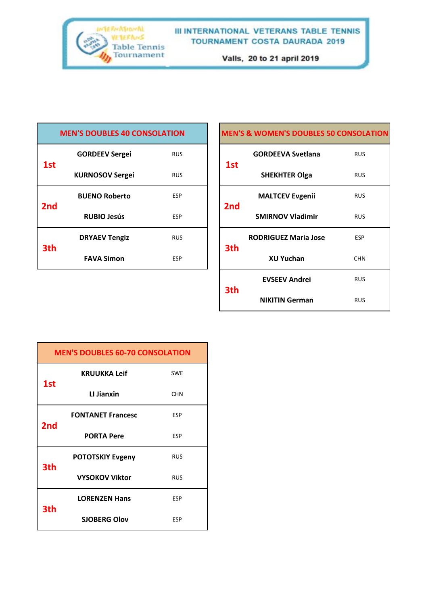

| <b>MEN'S DOUBLES 40 CONSOLATION</b> |                        |            |
|-------------------------------------|------------------------|------------|
| 1st                                 | <b>GORDEEV Sergei</b>  | <b>RUS</b> |
|                                     | <b>KURNOSOV Sergei</b> | RUS        |
| 2 <sub>nd</sub>                     | <b>BUENO Roberto</b>   | <b>ESP</b> |
|                                     | <b>RUBIO Jesús</b>     | <b>ESP</b> |
| 3th                                 | <b>DRYAEV Tengiz</b>   | <b>RUS</b> |
|                                     | <b>FAVA Simon</b>      | <b>ESP</b> |

| <b>MEN'S &amp; WOMEN'S DOUBLES 50 CONSOLATION</b> |                             |            |
|---------------------------------------------------|-----------------------------|------------|
| 1st                                               | <b>GORDEEVA Svetlana</b>    | <b>RUS</b> |
|                                                   | <b>SHEKHTER Olga</b>        | <b>RUS</b> |
| 2nd                                               | <b>MALTCEV Evgenii</b>      | <b>RUS</b> |
|                                                   | <b>SMIRNOV Vladimir</b>     | <b>RUS</b> |
| 3th                                               | <b>RODRIGUEZ Maria Jose</b> | <b>ESP</b> |
|                                                   | <b>XU Yuchan</b>            | <b>CHN</b> |
| 3th                                               | <b>EVSEEV Andrei</b>        | <b>RUS</b> |
|                                                   | <b>NIKITIN German</b>       | <b>RUS</b> |

| <b>MEN'S DOUBLES 60-70 CONSOLATION</b> |                          |            |
|----------------------------------------|--------------------------|------------|
| 1st                                    | <b>KRUUKKA Leif</b>      | <b>SWE</b> |
|                                        | LI Jianxin               | <b>CHN</b> |
| 2nd                                    | <b>FONTANET Francesc</b> | <b>ESP</b> |
|                                        | <b>PORTA Pere</b>        | <b>ESP</b> |
| 3th                                    | <b>POTOTSKIY Evgeny</b>  | <b>RUS</b> |
|                                        | <b>VYSOKOV Viktor</b>    | <b>RUS</b> |
| 3th                                    | <b>LORENZEN Hans</b>     | <b>ESP</b> |
|                                        | <b>SJOBERG Olov</b>      | <b>ESP</b> |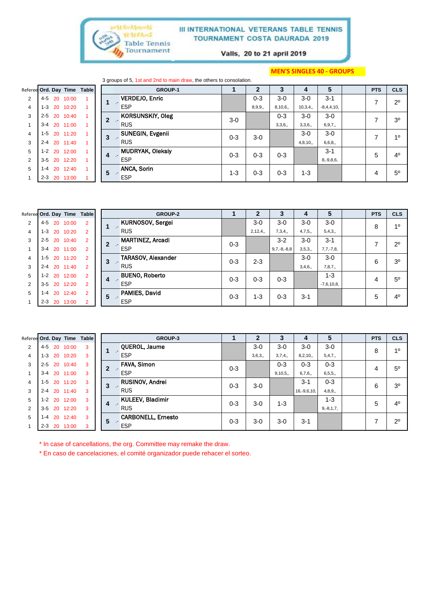

Valls, 20 to 21 april 2019

#### **MEN'S SINGLES 40 - GROUPS**

3 groups of 5, 1st and 2nd to main draw, the others to consolation.

| the contract of the contract of the contract of the contract of the contract of the contract of the contract of | .<br>_______ |  |  |
|-----------------------------------------------------------------------------------------------------------------|--------------|--|--|
|                                                                                                                 |              |  |  |

|                | Referee Ord. Day Time Table |          |  |              | <b>GROUP-1</b>          |         | 2       | 3       | 4       | 5              | <b>PTS</b> | <b>CLS</b>     |
|----------------|-----------------------------|----------|--|--------------|-------------------------|---------|---------|---------|---------|----------------|------------|----------------|
| $\overline{2}$ | 4-5<br>20                   | 10:00    |  |              | <b>VERDEJO, Enric</b>   |         | $0 - 3$ | $3-0$   | $3-0$   | $3 - 1$        | ⇁          | $2^{\circ}$    |
| $\overline{4}$ | $1 - 3$                     | 20 10:20 |  |              | <b>ESP</b>              |         | 8,9,9,  | 8,10,6, | 10,3,4, | $-8,4,4,10,$   |            |                |
| 3              | $2 - 5$                     | 20 10:40 |  | $\mathbf{2}$ | <b>KORSUNSKIY, Oleg</b> | $3-0$   |         | $0 - 3$ | $3-0$   | $3-0$          | ⇁          | 3 <sup>o</sup> |
|                | $3 - 4$                     | 20 11:00 |  |              | <b>RUS</b>              |         |         | 3,3,6,  | 3,3,6,  | 6, 9, 7,       |            |                |
| 4              | $1-5$                       | 20 11:20 |  | 3            | SUNEGIN, Evgenii        | $0 - 3$ | $3-0$   |         | $3-0$   | $3-0$          | ⇁          | 10             |
| 3              | $2 - 4$                     | 20 11:40 |  |              | <b>RUS</b>              |         |         |         | 4,8,10, | 6,6,8,         |            |                |
| 5              | $1 - 2$<br>20               | 12:00    |  | 4            | <b>MUDRYAK, Oleksiy</b> | $0 - 3$ | $0 - 3$ | $0 - 3$ |         | $3 - 1$        | 5          | 4 <sup>0</sup> |
| 2              | $3 - 5$<br>20               | 12:20    |  |              | <b>ESP</b>              |         |         |         |         | $8, -9, 8, 6,$ |            |                |
| 5              | $1 - 4$                     | 20 12:40 |  | 5            | <b>ANCA, Sorin</b>      | 1-3     | $0 - 3$ | $0 - 3$ | $1 - 3$ |                | 4          | $5^{\circ}$    |
|                | $2 - 3$<br>20               | 13:00    |  |              | <b>ESP</b>              |         |         |         |         |                |            |                |

|                | Referee Ord. Day Time Table |          |                |             | <b>GROUP-2</b>            |         | 2       | 3             |         | 5           | <b>PTS</b> | <b>CLS</b>     |
|----------------|-----------------------------|----------|----------------|-------------|---------------------------|---------|---------|---------------|---------|-------------|------------|----------------|
| $\overline{2}$ | 4-5                         | 20 10:00 | $\overline{2}$ |             | <b>KURNOSOV, Sergei</b>   |         | $3-0$   | 3-0           | $3-0$   | $3-0$       | 8          | 10             |
| $\overline{4}$ | $1 - 3$                     | 20 10:20 | $\overline{2}$ |             | <b>RUS</b>                |         | 2,12,4, | 7,3,4,        | 4,7,5,  | 5,4,3,      |            |                |
| 3              | $2 - 5$                     | 20 10:40 | $\overline{2}$ |             | <b>MARTINEZ, Arcadi</b>   | $0 - 3$ |         | $3 - 2$       | $3-0$   | $3 - 1$     |            | $2^{\circ}$    |
|                | $3 - 4$                     | 20 11:00 | $\overline{2}$ |             | <b>ESP</b>                |         |         | $9,7,-8,-8,8$ | 3,5,3,  | $7,7,-7,8$  |            |                |
| 4              | $1 - 5$                     | 20 11:20 | $\overline{2}$ | 3<br>$\sim$ | <b>TARASOV, Alexander</b> | $0 - 3$ | $2 - 3$ |               | $3-0$   | $3-0$       | 6          | 3 <sup>0</sup> |
| 3              | $2 - 4$                     | 20 11:40 | $\overline{2}$ |             | <b>RUS</b>                |         |         |               | 3,4,6,  | 7,8,7,      |            |                |
| 5              | $1 - 2$                     | 20 12:00 | $\overline{2}$ | 4           | <b>BUENO, Roberto</b>     | $0 - 3$ | $0 - 3$ | $0 - 3$       |         | $1 - 3$     | 4          | $5^{\circ}$    |
| $\overline{2}$ | $3 - 5$                     | 20 12:20 | $\overline{2}$ |             | <b>ESP</b>                |         |         |               |         | $-7,6,10,8$ |            |                |
| 5              | 20<br>$1 - 4$               | 12:40    | $\overline{2}$ | 5           | PAMIES, David             | $0 - 3$ | 1-3     | $0 - 3$       | $3 - 1$ |             | 5          | 4 <sup>0</sup> |
|                | $2 - 3$                     | 20 13:00 |                |             | <b>ESP</b>                |         |         |               |         |             |            |                |

|                |         |    |                  | Referee Ord. Day Time Table |        | GROUP-3                   |         | 2      | 3         | 4                | 5              | <b>PTS</b> | <b>CLS</b>     |
|----------------|---------|----|------------------|-----------------------------|--------|---------------------------|---------|--------|-----------|------------------|----------------|------------|----------------|
| $\overline{2}$ | 4-5     |    | 20 10:00         | 3                           |        | QUEROL, Jaume             |         | $3-0$  | $3-0$     | $3-0$            | $3-0$          | 8          | 10             |
| 4              | $1 - 3$ |    | 20 10:20         | 3                           | $\sim$ | <b>ESP</b>                |         | 3,6,3, | 3,7,4,    | 8,2,10,          | 5,4,7,         |            |                |
| 3              | $2 - 5$ |    | 20 10:40         | 3                           |        | <b>FAVA, Simon</b>        | $0 - 3$ |        | $0 - 3$   | $0 - 3$          | $0 - 3$        | 4          | $5^{\circ}$    |
|                | $3 - 4$ |    | 20 11:00         | 3                           | $\sim$ | <b>ESP</b>                |         |        | 9, 10, 5, | 6,7,6,           | 6, 5, 5,       |            |                |
| 4              | $1-5$   |    | 20 11:20         | 3                           | 3      | <b>RUSINOV, Andrei</b>    | $0 - 3$ | $3-0$  |           | $3 - 1$          | $0 - 3$        | 6          | 3 <sup>o</sup> |
| 3              |         |    | $2 - 4$ 20 11:40 | 3                           |        | <b>RUS</b>                |         |        |           | $16, -9, 6, 10,$ | 4,8,9,         |            |                |
| 5              | $1 - 2$ |    | 20 12:00         | 3                           | 4      | <b>KULEEV, Bladimir</b>   | $0 - 3$ | $3-0$  | 1-3       |                  | $1 - 3$        | 5          | $4^{\circ}$    |
| 2              | $3 - 5$ |    | 20 12:20         | 3                           | $\sim$ | <b>RUS</b>                |         |        |           |                  | $9, -8, 1, 7,$ |            |                |
| 5              | $1 - 4$ |    | 20 12:40         | 3                           | 5      | <b>CARBONELL, Ernesto</b> | $0 - 3$ | $3-0$  | $3-0$     | $3 - 1$          |                |            | $2^{\circ}$    |
|                | $2 - 3$ | 20 | 13:00            |                             |        | <b>ESP</b>                |         |        |           |                  |                |            |                |

\* In case of cancellations, the org. Committee may remake the draw.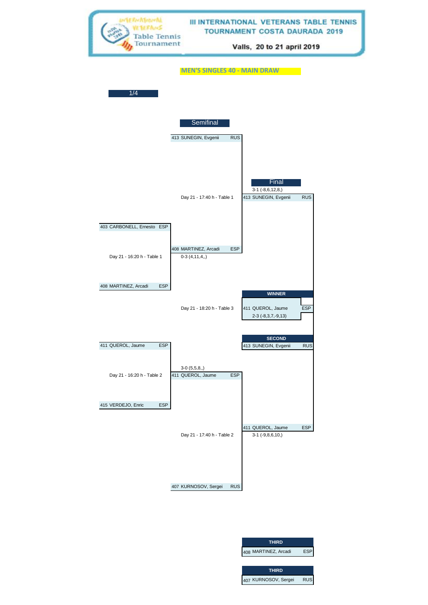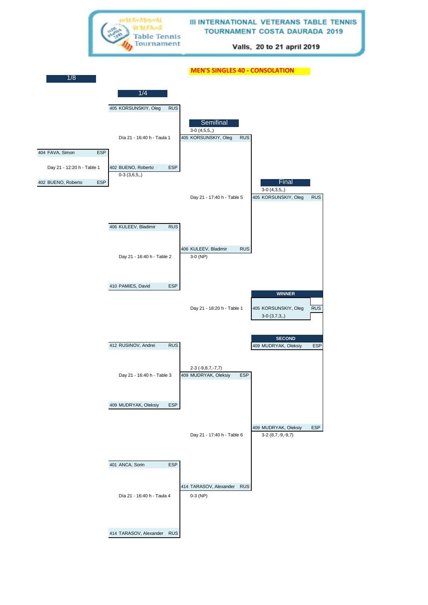

414 TARASOV, Alexander RUS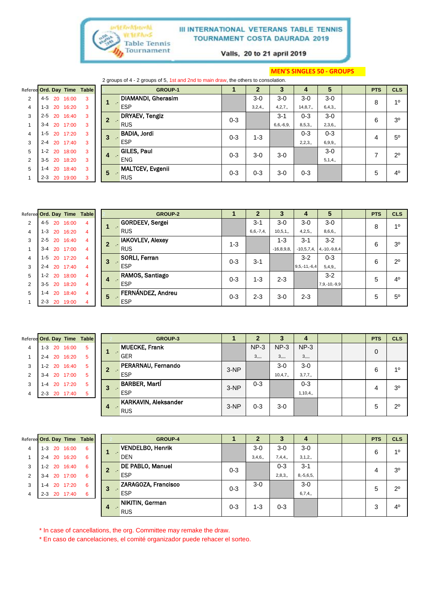

Valls, 20 to 21 april 2019

#### **MEN'S SINGLES 50 - GROUPS**

|                             |         |    |          |   |   | 2 groups of 4 - 2 groups of 5, 1st and 2nd to main draw, the others to consolation. |         |         |                |           |         |            |                |
|-----------------------------|---------|----|----------|---|---|-------------------------------------------------------------------------------------|---------|---------|----------------|-----------|---------|------------|----------------|
| Referee Ord. Day Time Table |         |    |          |   |   | <b>GROUP-1</b>                                                                      |         |         | З              | 4         | 5       | <b>PTS</b> | <b>CLS</b>     |
| 2                           | $4 - 5$ |    | 20 16:00 | 3 |   | DIAMANDI, Gherasim                                                                  |         | $3-0$   | $3-0$          | $3-0$     | $3-0$   | 8          | 1 <sup>0</sup> |
| $\overline{4}$              | $1 - 3$ | 20 | 16:20    | 3 |   | <b>ESP</b>                                                                          |         | 3,2,4,  | 4,2,7,         | 14, 8, 7, | 6,4,3,  |            |                |
| 3                           | $2 - 5$ | 20 | 16:40    | 3 |   | DRYAEV, Tengiz                                                                      | $0 - 3$ |         | $3 - 1$        | $0 - 3$   | $3-0$   | 6          | 3 <sup>o</sup> |
|                             | $3 - 4$ | 20 | 17:00    | 3 |   | <b>RUS</b>                                                                          |         |         | $6, 6, -6, 9,$ | 8,5,3,    | 2,3,6,  |            |                |
| $\overline{4}$              | $1-5$   |    | 20 17:20 | 3 | 3 | BADIA, Jordi                                                                        | $0 - 3$ | $1 - 3$ |                | $0 - 3$   | $0 - 3$ | 4          | $5^{\circ}$    |
| 3                           | $2 - 4$ |    | 20 17:40 | 3 |   | <b>ESP</b>                                                                          |         |         |                | 2,2,3,    | 6,9,9,  |            |                |
| 5                           | $1 - 2$ | 20 | 18:00    | 3 |   | GILES, Paul                                                                         | $0 - 3$ | $3-0$   | $3-0$          |           | $3-0$   |            | $2^{\circ}$    |
| 2                           | $3 - 5$ | 20 | 18:20    | 3 | 4 | <b>ENG</b>                                                                          |         |         |                |           | 5,1,4,  |            |                |
| 5                           | 1-4     | 20 | 18:40    | 3 | 5 | MALTCEV, Evgenii                                                                    | $0 - 3$ | $0 - 3$ | $3-0$          | $0 - 3$   |         | 5          | $4^{\circ}$    |
|                             | $2 - 3$ | 20 | 19:00    |   |   | <b>RUS</b>                                                                          |         |         |                |           |         |            |                |

|                | Referee Ord. Day Time |          | <b>Table</b> |   | <b>GROUP-2</b>                     |         | 2              | 3            | 4               | 5                  | <b>PTS</b> | <b>CLS</b>     |
|----------------|-----------------------|----------|--------------|---|------------------------------------|---------|----------------|--------------|-----------------|--------------------|------------|----------------|
| 2              | $4 - 5$<br>20         | 16:00    | 4            |   | <b>GORDEEV, Sergei</b>             |         | $3 - 1$        | 3-0          | $3-0$           | $3-0$              | 8          | 10             |
| 4              | $1 - 3$               | 20 16:20 | 4            |   | <b>RUS</b>                         |         | $6, 6, -7, 4,$ | 10,5,1,      | 4,2,5,          | 8,6,6,             |            |                |
| 3              | $2 - 5$<br>20         | 16:40    | 4            |   | <b>IAKOVLEV, Alexey</b>            | $1 - 3$ |                | $1 - 3$      | $3 - 1$         | $3 - 2$            | 6          | 3 <sup>o</sup> |
|                | $3 - 4$               | 20 17:00 | 4            |   | <b>RUS</b>                         |         |                | $-16,8,9,8,$ | $-10, 5, 7, 4,$ | $4, -10, -9, 8, 4$ |            |                |
| 4              | $1 - 5$               | 20 17:20 | 4            | 3 | <b>SORLI, Ferran</b><br><b>COL</b> | $0 - 3$ | $3 - 1$        |              | $3 - 2$         | $0 - 3$            | 6          | $2^{\circ}$    |
| 3              | $2 - 4$               | 20 17:40 | 4            |   | <b>ESP</b>                         |         |                |              | $9,5,-11,-6,4$  | 5,4,9,             |            |                |
| 5              | $1 - 2$               | 20 18:00 | 4            | 4 | RAMOS, Santiago                    | $0 - 3$ | $1 - 3$        | $2 - 3$      |                 | $3 - 2$            | 5          | 4 <sup>0</sup> |
| $\overline{2}$ | $3 - 5$               | 20 18:20 | 4            |   | <b>ESP</b>                         |         |                |              |                 | 7,9,-10,-9,9       |            |                |
| 5              | 20<br>$1 - 4$         | 18:40    | 4            | 5 | FERNÁNDEZ, Andreu                  | $0 - 3$ | $2 - 3$        | $3-0$        | $2 - 3$         |                    | 5          | $5^{\circ}$    |
|                | $2 - 3$               | 20 19:00 | 4            |   | <b>ESP</b>                         |         |                |              |                 |                    |            |                |

|                | Referee Ord. Day Time Table |           |          |   |              | <b>GROUP-3</b>              |        |         |             |           |  | <b>PTS</b> | <b>CLS</b>     |
|----------------|-----------------------------|-----------|----------|---|--------------|-----------------------------|--------|---------|-------------|-----------|--|------------|----------------|
| 4              | 1-3 20 16:00                |           |          | 5 |              | <b>MUECKE, Frank</b>        |        | $NP-3$  | $NP-3$      | $NP-3$    |  | $\Omega$   |                |
|                | $2 - 4$                     |           | 20 16:20 | 5 |              | <b>GER</b>                  |        |         | $3, \ldots$ |           |  |            |                |
| 3              | $1 - 2$                     |           | 20 16:40 | 5 | $\mathbf{2}$ | <b>PERARNAU, Fernando</b>   | $3-NP$ |         | $3-0$       | $3-0$     |  | 6          | 10             |
| $\overline{2}$ | 3-4                         |           | 20 17:00 | 5 |              | <b>ESP</b>                  |        |         | 10,4,7,     | 3,7,7,    |  |            |                |
| 3              | 1-4                         | <b>20</b> | 17:20    | 5 | 3            | <b>BARBER, Marti</b>        | $3-NP$ | $0 - 3$ |             | $0 - 3$   |  |            | 3 <sup>o</sup> |
| 4              | $2 - 3$                     |           | 20 17:40 | 5 |              | <b>ESP</b>                  |        |         |             | 1, 10, 4, |  | 4          |                |
|                |                             |           |          |   | 4            | <b>KARKAVIN, Aleksander</b> | $3-NP$ | $0 - 3$ | $3-0$       |           |  | 5          | $2^{\circ}$    |
|                |                             |           |          |   |              | 1989<br><b>RUS</b>          |        |         |             |           |  |            |                |

| Referee Ord. Day Time Table |         |    |          |   |                | <b>GROUP-4</b>          |         |         | J       | 4              |  | <b>PTS</b> | <b>CLS</b>     |
|-----------------------------|---------|----|----------|---|----------------|-------------------------|---------|---------|---------|----------------|--|------------|----------------|
| 4                           | $1 - 3$ |    | 20 16:00 | 6 |                | <b>VENDELBO, Henrik</b> |         | $3-0$   | $3-0$   | $3-0$          |  | 6          | 10             |
|                             | $2 - 4$ |    | 20 16:20 | 6 |                | <b>DEN</b>              |         | 3,4,6,  | 7,4,4,  | 3,1,2,         |  |            |                |
| 3                           | $1 - 2$ |    | 20 16:40 | 6 | <b>COLLECT</b> | <b>DE PABLO, Manuel</b> | $0 - 3$ |         | $0 - 3$ | $3 - 1$        |  | 4          | 3 <sup>0</sup> |
| 2                           | $3 - 4$ |    | 20 17:00 | 6 |                | <b>ESP</b>              |         |         | 2,8,3,  | $8, -5, 6, 5,$ |  |            |                |
| 3                           | $1 - 4$ | 20 | 17:20    | 6 | 3              | ZARAGOZA, Francisco     | $0 - 3$ | $3-0$   |         | $3-0$          |  | 5          | $2^{\circ}$    |
| 4                           | $2 - 3$ |    | 20 17:40 | 6 |                | <b>ESP</b>              |         |         |         | 6,7,4,         |  |            |                |
|                             |         |    |          |   | 4              | NIKITIN, German         | $0 - 3$ | $1 - 3$ | $0 - 3$ |                |  | 3          | 4 <sup>0</sup> |
|                             |         |    |          |   |                | <b>RUS</b>              |         |         |         |                |  |            |                |

\* In case of cancellations, the org. Committee may remake the draw.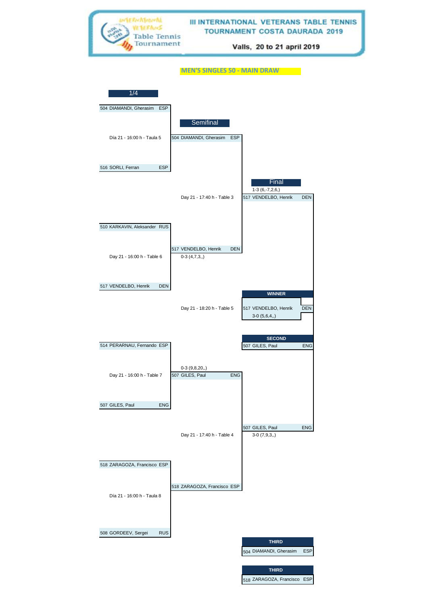TERNATIONAL **III INTERNATIONAL VETERANS TABLE TENNIS** VETERANS **TOURNAMENT COSTA DAURADA 2019 Table Tennis** Tournament Valls, 20 to 21 april 2019

**MEN'S SINGLES 50 - MAIN DRAW**

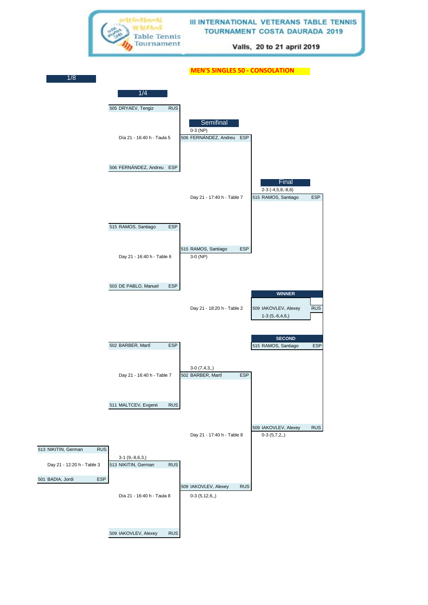

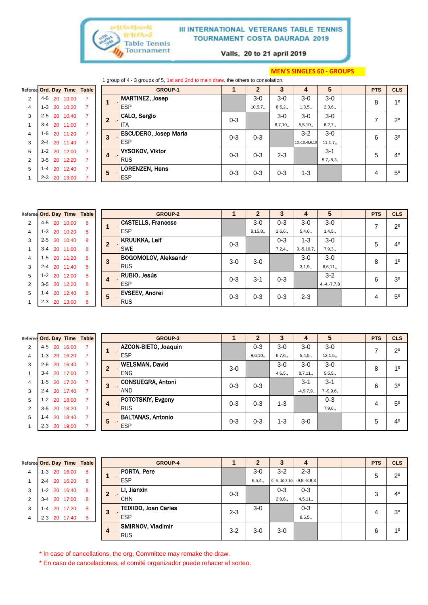

Valls, 20 to 21 april 2019

#### **MEN'S SINGLES 60 - GROUPS**

|                             |         |    |              |  |                    | 1 group of 4 - 3 groups of 5, 1st and 2nd to main draw, the others to consolation. |         |         |         |                |             |            |                |
|-----------------------------|---------|----|--------------|--|--------------------|------------------------------------------------------------------------------------|---------|---------|---------|----------------|-------------|------------|----------------|
| Referee Ord. Day Time Table |         |    |              |  |                    | <b>GROUP-1</b>                                                                     |         |         |         | 4              | 5           | <b>PTS</b> | <b>CLS</b>     |
| $\overline{2}$              | 4-5     |    | 20 10:00     |  |                    | <b>MARTINEZ, Josep</b>                                                             |         | $3-0$   | $3-0$   | $3-0$          | $3-0$       | 8          | 10             |
| $\overline{4}$              |         |    | 1-3 20 10:20 |  |                    | <b>ESP</b>                                                                         |         | 10,5,7, | 8,5,2,  | 1,3,5,         | 2,3,6,      |            |                |
| 3                           |         |    | 2-5 20 10:40 |  |                    | CALO, Sergio                                                                       | $0 - 3$ |         | $3-0$   | $3-0$          | $3-0$       | 7          | $2^{\circ}$    |
|                             | $3 - 4$ |    | 20 11:00     |  |                    | <b>ITA</b>                                                                         |         |         | 6,7,10, | 5,5,10,        | 6, 2, 7,    |            |                |
| 4                           | $1 - 5$ |    | 20 11:20     |  | 3<br>$\mathcal{L}$ | <b>ESCUDERO, Josep Maria</b>                                                       | $0 - 3$ | $0 - 3$ |         | $3-2$          | $3-0$       | 6          | 3 <sup>o</sup> |
| 3                           | $2 - 4$ |    | 20 11:40     |  |                    | <b>ESP</b>                                                                         |         |         |         | 10,-10,-9,6,10 | 11, 1, 7,   |            |                |
| 5                           | $1 - 2$ |    | 20 12:00     |  | 4<br><b>CO</b>     | <b>VYSOKOV, Viktor</b>                                                             | $0 - 3$ | $0 - 3$ | $2 - 3$ |                | $3 - 1$     | 5          | $4^{\circ}$    |
| 2                           | $3 - 5$ |    | 20 12:20     |  |                    | <b>RUS</b>                                                                         |         |         |         |                | $5,7,-8,3,$ |            |                |
| 5                           | 1-4     | 20 | 12:40        |  | 5                  | <b>LORENZEN, Hans</b>                                                              | $0 - 3$ | $0 - 3$ | $0 - 3$ | $1 - 3$        |             | 4          | $5^{\circ}$    |
|                             | $2 - 3$ |    | 20 13:00     |  |                    | <b>ESP</b>                                                                         |         |         |         |                |             |            |                |

|                | Referee Ord. Day Time Table |          |   |    | <b>GROUP-2</b>              |         | $\mathbf{2}$ | 3       |                 | 5                 | <b>PTS</b> | <b>CLS</b>     |
|----------------|-----------------------------|----------|---|----|-----------------------------|---------|--------------|---------|-----------------|-------------------|------------|----------------|
| $\overline{2}$ | - 20<br>4-5                 | 10:00    | 8 |    | <b>CASTELLS, Francesc</b>   |         | $3-0$        | $0 - 3$ | $3-0$           | $3-0$             |            | $2^{\circ}$    |
| 4              | $1 - 3$                     | 20 10:20 | 8 | и. | <b>ESP</b>                  |         | 8, 15, 8,    | 2,6,6,  | 5,4,6,          | 1,4,5,            |            |                |
| 3              | 2-5 20 10:40                |          | 8 |    | <b>KRUUKKA, Leif</b>        | $0 - 3$ |              | $0 - 3$ | $1 - 3$         | $3-0$             | 5          | 4 <sup>0</sup> |
|                | $3 - 4$                     | 20 11:00 | 8 |    | <b>SWE</b>                  |         |              | 7,2,4,  | $9, -5, 10, 7,$ | 7,9,3,            |            |                |
| 4              | 1-5 20 11:20                |          | 8 | 3  | <b>BOGOMOLOV, Aleksandr</b> | $3-0$   | $3-0$        |         | $3-0$           | $3-0$             | 8          | 10             |
| 3              | 2-4 20 11:40                |          | 8 |    | <b>RUS</b>                  |         |              |         | 3,1,9,          | 6,6,11,           |            |                |
| 5              | $1 - 2$                     | 20 12:00 | 8 | 4  | RUBIO, Jesús                | $0 - 3$ | $3 - 1$      | $0 - 3$ |                 | $3 - 2$           | 6          | 3 <sup>0</sup> |
| 2              | 3-5 20 12:20                |          | 8 |    | <b>ESP</b>                  |         |              |         |                 | $4, -4, -7, 7, 8$ |            |                |
| 5              | 20<br>1-4                   | 12:40    | 8 | 5  | <b>EVSEEV, Andrei</b>       | $0 - 3$ | $0 - 3$      | $0 - 3$ | $2 - 3$         |                   | 4          | $5^{\circ}$    |
|                | $2 - 3$                     | 20 13:00 | 8 |    | <b>RUS</b>                  |         |              |         |                 |                   |            |                |

|   | Referee Ord. Day Time Table |          | <b>GROUP-3</b>                |         |         | 3       |             | 5              | <b>PTS</b> | <b>CLS</b>     |
|---|-----------------------------|----------|-------------------------------|---------|---------|---------|-------------|----------------|------------|----------------|
| 2 | 4-5                         | 20 16:00 | AZCON-BIETO, Joaquin          |         | $0 - 3$ | $3-0$   | $3-0$       | $3-0$          | ⇁          | $2^{\circ}$    |
| 4 | 1-3 20 16:20                |          | <b>ESP</b>                    |         | 9,6,10, | 6,7,6,  | 5,4,5,      | 12, 1, 5,      |            |                |
| 3 | $2 - 5$                     | 20 16:40 | <b>WELSMAN, David</b>         | $3-0$   |         | $3-0$   | $3-0$       | $3-0$          | 8          | 10             |
|   | $3 - 4$                     | 20 17:00 | <b>ENG</b>                    |         |         | 4,6,5,  | 8,7,11,     | 5,5,5,         |            |                |
| 4 | $1 - 5$                     | 20 17:20 | <b>CONSUEGRA, Antoni</b><br>3 | $0 - 3$ | $0 - 3$ |         | $3-1$       | $3 - 1$        | 6          | 3 <sup>0</sup> |
| 3 | 2-4 20 17:40                |          | <b>AND</b>                    |         |         |         | $-4,9,7,9,$ | $7, -9, 9, 6,$ |            |                |
| 5 | $1 - 2$                     | 20 18:00 | POTOTSKIY, Evgeny<br>4        | $0 - 3$ | $0 - 3$ | $1 - 3$ |             | $0 - 3$        | 4          | 5 <sup>0</sup> |
| 2 | $3 - 5$                     | 20 18:20 | <b>RUS</b>                    |         |         |         |             | 7,9,6,         |            |                |
| 5 | $1 - 4$                     | 20 18:40 | <b>BALTANAS, Antonio</b><br>5 | $0 - 3$ | $0 - 3$ | 1-3     | $3-0$       |                | 5          | 4 <sup>0</sup> |
|   | $2 - 3$                     | 20 19:00 | <b>ESP</b>                    |         |         |         |             |                |            |                |

| Referee Ord. Day Time Table |         |              |    |                | <b>GROUP-4</b>              |         | 2      | 3                             | 4       |  | <b>PTS</b> | <b>CLS</b>     |
|-----------------------------|---------|--------------|----|----------------|-----------------------------|---------|--------|-------------------------------|---------|--|------------|----------------|
| 4                           |         | 1-3 20 16:00 | 8  |                | PORTA, Pere                 |         | $3-0$  | $3 - 2$                       | $2 - 3$ |  | 5          | $2^{\circ}$    |
|                             |         | 2-4 20 16:20 | 8  |                | <b>ESP</b>                  |         | 6,5,4, | $9,-6,-10,3,10$ $-9,8,-8,9,3$ |         |  |            |                |
| 3                           |         | 1-2 20 16:40 | 8  | $\mathbf{2}$   | LI, Jianxin                 | $0 - 3$ |        | $0 - 3$                       | $0 - 3$ |  | 3          | $4^{\circ}$    |
| $\overline{2}$              | $3 - 4$ | 20 17:00     | 8  |                | <b>CHN</b>                  |         |        | 2,9,6,                        | 4,5,11, |  |            |                |
| 3                           | $1 - 4$ | 20 17:20     | 8  | 3              | <b>TEIXIDO, Joan Carles</b> | $2 - 3$ | $3-0$  |                               | $0 - 3$ |  | 4          | 3 <sup>o</sup> |
| 4                           |         | 2-3 20 17:40 | -8 |                | <b>ESP</b>                  |         |        |                               | 8,5,5,  |  |            |                |
|                             |         |              |    | $\overline{4}$ | <b>SMIRNOV, Vladimir</b>    | $3 - 2$ | $3-0$  | $3-0$                         |         |  | 6          | 10             |
|                             |         |              |    |                | <b>RUS</b>                  |         |        |                               |         |  |            |                |

\* In case of cancellations, the org. Committee may remake the draw.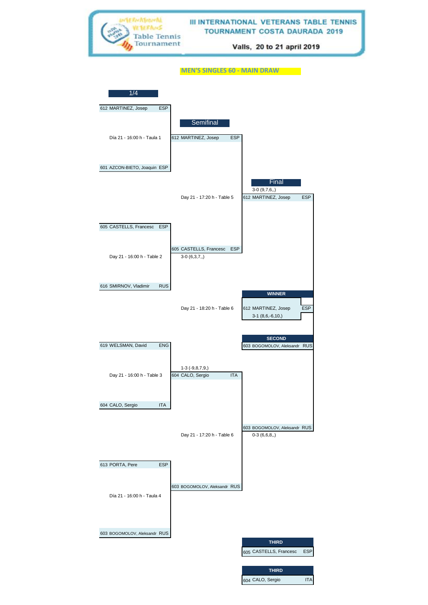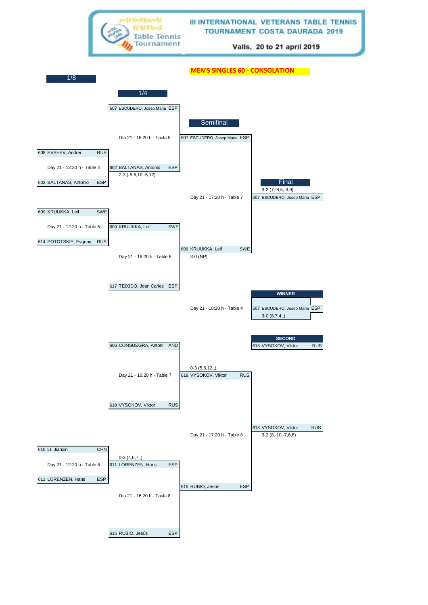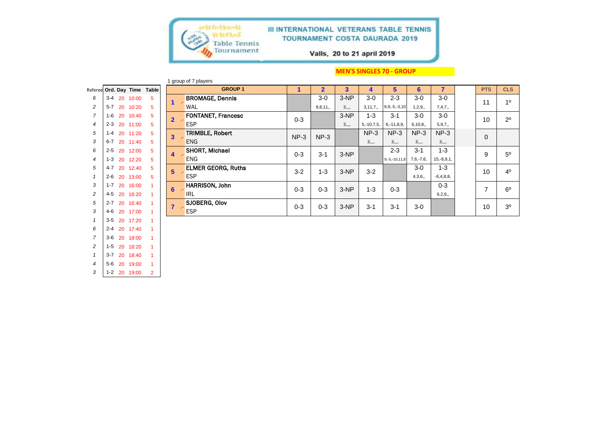

 2-4 20 17:40 1 3-6 20 18:00 1 1-5 20 18:20 1 3-7 20 18:40 1 5-6 20 19:00 1 1-2 20 19:00 2

#### III INTERNATIONAL VETERANS TABLE TENNIS **TOURNAMENT COSTA DAURADA 2019**

Valls, 20 to 21 april 2019

#### **MEN'S SINGLES 70 - GROUP**

|                |         |    |          |                             |                         | 1 group of 7 players      |         |                |        |                 |                    |             |              |                |                |
|----------------|---------|----|----------|-----------------------------|-------------------------|---------------------------|---------|----------------|--------|-----------------|--------------------|-------------|--------------|----------------|----------------|
|                |         |    |          | Referee Ord. Day Time Table |                         | <b>GROUP1</b>             |         | $\overline{2}$ | 3      | 4               | 5.                 | 6           |              | <b>PTS</b>     | <b>CLS</b>     |
| 6              | $3 - 4$ | 20 | 10:00    | 5                           |                         | <b>BROMAGE, Dennis</b>    |         | $3-0$          | $3-NP$ | $3-0$           | $2 - 3$            | $3-0$       | 3-0          | 11             | 1 <sup>0</sup> |
| $\overline{c}$ | $5 - 7$ | 20 | 10:20    | 5                           |                         | WAL                       |         | 9,8,11,        |        | 3, 11, 7,       | $9, 9, -5, -3, 10$ | 1,2,9,      | 7,4,7,       |                |                |
| $\overline{7}$ | $1 - 6$ | 20 | 10:40    | 5                           | $\mathbf{2}$            | <b>FONTANET, Francesc</b> | $0 - 3$ |                | $3-NP$ | $1 - 3$         | $3 - 1$            | $3-0$       | $3-0$        | 10             | $2^{\circ}$    |
| $\overline{4}$ | $2 - 3$ | 20 | 11:00    | 5                           |                         | <b>ESP</b>                |         |                |        | $5, -10, 7, 5,$ | $6, -11, 8, 9,$    | 6, 10, 8,   | 5, 9, 7,     |                |                |
| 5              | $1 - 4$ |    | 20 11:20 | 5                           | $\overline{\mathbf{3}}$ | <b>TRIMBLE, Robert</b>    | $NP-3$  | $NP-3$         |        | $NP-3$          | $NP-3$             | $NP-3$      | $NP-3$       | $\Omega$       |                |
| 3              | $6 - 7$ | 20 | 11:40    | 5                           |                         | <b>ENG</b>                |         |                |        | 3               | 3                  | 3           |              |                |                |
| 6              | $2 - 5$ | 20 | 12:00    | 5                           | 4                       | <b>SHORT, Michael</b>     | $0 - 3$ | $3 - 1$        | $3-NP$ |                 | $2 - 3$            | $3 - 1$     | $1 - 3$      | 9              | $5^{\circ}$    |
| $\overline{4}$ | $1 - 3$ | 20 | 12:20    | 5                           |                         | <b>ENG</b>                |         |                |        |                 | $9,-5,-10,11,8$    | $7,6,-7,6,$ | $15,-8,9,1,$ |                |                |
| 5              | $4 - 7$ | 20 | 12:40    | 5                           | 5                       | <b>ELMER GEORG, Ruths</b> | $3 - 2$ | $1 - 3$        | $3-NP$ | $3 - 2$         |                    | $3-0$       | $1 - 3$      | 10             | 4 <sup>0</sup> |
|                | $2 - 6$ | 20 | 13:00    | 5                           |                         | <b>ESP</b>                |         |                |        |                 |                    | 4,3,6,      | $-6,4,8,8,$  |                |                |
| 3              | $1 - 7$ | 20 | 16:00    |                             | 6                       | <b>HARRISON, John</b>     | $0 - 3$ | $0 - 3$        | $3-NP$ | $1 - 3$         | $0 - 3$            |             | $0 - 3$      | $\overline{ }$ | $6^{\circ}$    |
| $\overline{c}$ | $4 - 5$ | 20 | 16:20    |                             |                         | <b>IRL</b>                |         |                |        |                 |                    |             | 6,2,6,       |                |                |
| 5              | $2 - 7$ | 20 | 16:40    |                             |                         | SJOBERG, Olov             | $0 - 3$ | $0 - 3$        | $3-NP$ | $3 - 1$         | $3 - 1$            | $3-0$       |              | 10             | 3 <sup>o</sup> |
| 3              | 4-6     | 20 | 17:00    |                             |                         | <b>ESP</b>                |         |                |        |                 |                    |             |              |                |                |
|                | $3 - 5$ | 20 | 17:20    |                             |                         |                           |         |                |        |                 |                    |             |              |                |                |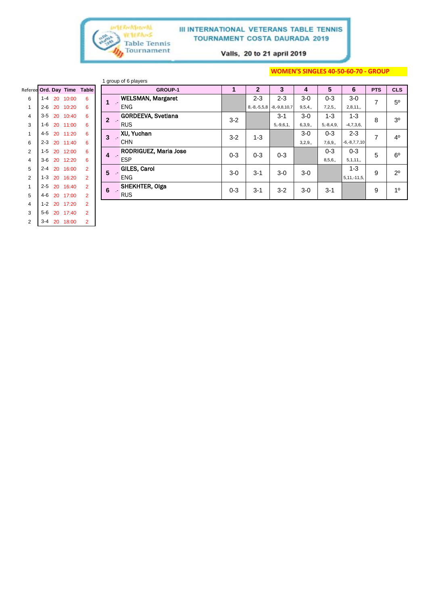

Valls, 20 to 21 april 2019

#### **WOMEN'S SINGLES 40-50-60-70 - GROUP**

|                             |         |    |       |                |                | 1 group of 6 players         |         |
|-----------------------------|---------|----|-------|----------------|----------------|------------------------------|---------|
| Referee Ord. Day Time Table |         |    |       |                |                | <b>GROUP-1</b>               | 1       |
| 6                           | $1 - 4$ | 20 | 10:00 | 6              | 1              | <b>WELSMAN, Margaret</b>     |         |
| $\mathbf{1}$                | $2 - 6$ | 20 | 10:20 | 6              |                | <b>ENG</b>                   |         |
| $\overline{\mathbf{4}}$     | $3-5$   | 20 | 10:40 | 6              | $\overline{2}$ | <b>GORDEEVA, Svetlana</b>    | $3-2$   |
| 3                           | 1-6     | 20 | 11:00 | 6              |                | <b>RUS</b>                   |         |
| 1                           | $4 - 5$ | 20 | 11:20 | 6              | 3              | XU, Yuchan                   | $3 - 2$ |
| 6                           | $2 - 3$ | 20 | 11:40 | 6              |                | <b>CHN</b>                   |         |
| $\overline{2}$              | $1-5$   | 20 | 12:00 | 6              | 4              | <b>RODRIGUEZ, Maria Jose</b> | $0 - 3$ |
| $\overline{\mathbf{4}}$     | $3-6$   | 20 | 12:20 | 6              |                | <b>ESP</b>                   |         |
| 5                           | $2 - 4$ | 20 | 16:00 | $\overline{2}$ | 5              | <b>GILES, Carol</b>          |         |
| $\overline{2}$              | $1 - 3$ | 20 | 16:20 | $\overline{2}$ |                | <b>ENG</b>                   | $3-0$   |
| 1                           | $2 - 5$ | 20 | 16:40 | $\overline{2}$ | 6              | <b>SHEKHTER, Olga</b>        |         |
| 5                           | $4 - 6$ | 20 | 17:00 | $\overline{2}$ |                | <b>RUS</b>                   | $0 - 3$ |
| $\overline{4}$              | $1 - 2$ | 20 | 17:20 | $\overline{2}$ |                |                              |         |
| 3                           | $5-6$   | 20 | 17:40 | $\overline{2}$ |                |                              |         |
| 2                           | $3 - 4$ | 20 | 18:00 | $\overline{2}$ |                |                              |         |

| Referee Ord. Day Time |         |    |          | <b>Table</b>   |              | <b>GROUP-1</b>               |         | $\mathbf{2}$      | 3                  | 4      | 5              | 6                  | <b>PTS</b> | <b>CLS</b>     |
|-----------------------|---------|----|----------|----------------|--------------|------------------------------|---------|-------------------|--------------------|--------|----------------|--------------------|------------|----------------|
| 6                     | $1 - 4$ |    | 20 10:00 | 6              |              | <b>WELSMAN, Margaret</b>     |         | $2 - 3$           | $2 - 3$            | $3-0$  | $0 - 3$        | $3-0$              | 7          | 5 <sup>0</sup> |
| 1                     | $2 - 6$ | 20 | 10:20    | 6              |              | <b>ENG</b>                   |         | $8, -8, -5, 5, 8$ | $-8, -9, 8, 10, 7$ | 9,5,4, | 7,2,5,         | 2,8,11,            |            |                |
| $\overline{4}$        | $3 - 5$ |    | 20 10:40 | 6              | $\mathbf{2}$ | <b>GORDEEVA, Svetlana</b>    | $3 - 2$ |                   | $3 - 1$            | $3-0$  | $1 - 3$        | $1 - 3$            | 8          | 3 <sup>0</sup> |
| 3                     | 1-6     |    | 20 11:00 | 6              |              | <b>RUS</b>                   |         |                   | $5, -9, 6, 1,$     | 6,3,9, | $5, -8, 4, 9,$ | $-4,7,3,6,$        |            |                |
|                       | 4-5     |    | 20 11:20 | 6              | 3            | <b>XU. Yuchan</b>            | $3-2$   | $1 - 3$           |                    | $3-0$  | $0 - 3$        | $2 - 3$            | 7          | 4 <sup>0</sup> |
| 6                     | $2 - 3$ |    | 20 11:40 | 6              |              | <b>CHN</b>                   |         |                   |                    | 3,2,9, | 7,6,9,         | $-6, -8, 7, 7, 10$ |            |                |
| 2                     | $1 - 5$ |    | 20 12:00 | 6              | 4            | <b>RODRIGUEZ, Maria Jose</b> | $0 - 3$ | $0 - 3$           | $0 - 3$            |        | $0 - 3$        | $0 - 3$            | 5          | $6^{\circ}$    |
| $\overline{4}$        | $3-6$   | 20 | 12:20    | 6              |              | <b>ESP</b>                   |         |                   |                    |        | 8,5,6,         | 5, 1, 11,          |            |                |
| 5                     | $2 - 4$ | 20 | 16:00    | $\overline{2}$ | 5            | <b>GILES, Carol</b>          | $3-0$   | $3 - 1$           | $3-0$              | $3-0$  |                | $1 - 3$            | 9          | $2^{\circ}$    |
| 2                     | $1 - 3$ | 20 | 16:20    | $\overline{2}$ |              | <b>ENG</b>                   |         |                   |                    |        |                | $5, 11, -11, 5,$   |            |                |
|                       | $2 - 5$ | 20 | 16:40    | $\overline{2}$ | 6            | SHEKHTER, Olga               | $0 - 3$ | $3 - 1$           | $3-2$              | $3-0$  | $3 - 1$        |                    | 9          | 1 <sup>0</sup> |
| 5                     | 4-6     |    | 20 17:00 | $\overline{2}$ |              | <b>RUS</b>                   |         |                   |                    |        |                |                    |            |                |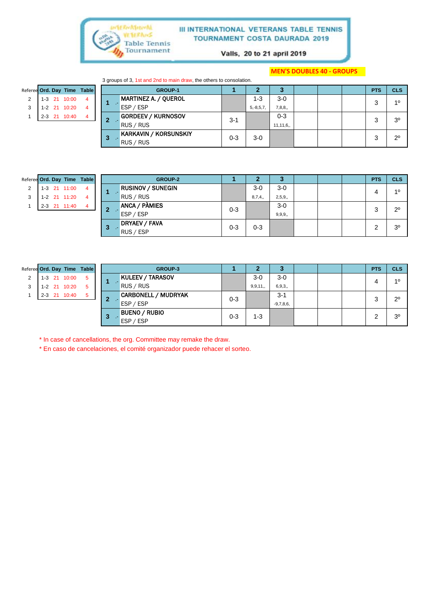

Valls, 20 to 21 april 2019

#### **MEN'S DOUBLES 40 - GROUPS**

3 groups of 3, 1st and 2nd to main draw, the others to consolation.

|   |         |              | Referee Ord. Day Time Table |   | <b>GROUP-1</b>              |         |         |            |            |  | <b>PTS</b>  | <b>CLS</b>     |
|---|---------|--------------|-----------------------------|---|-----------------------------|---------|---------|------------|------------|--|-------------|----------------|
| 2 |         | 1-3 21 10:00 | 4                           |   | <b>MARTINEZ A. / QUEROL</b> |         |         | $1 - 3$    | $3-0$      |  | 2           | 10             |
|   |         | 1-2 21 10:20 | 4                           |   | ESP / ESP                   |         |         | $5,-8,5,7$ | 7,8,8,     |  |             |                |
|   | $2 - 3$ | 21 10:40     | 4                           |   | <b>GORDEEV / KURNOSOV</b>   |         | $3 - 1$ |            | $0 - 3$    |  |             | 3 <sup>o</sup> |
|   |         |              |                             | ◢ | RUS / RUS                   |         |         |            | 11, 11, 6, |  |             |                |
|   |         |              |                             | 3 | KARKAVIN / KORSUNSKIY       | $0 - 3$ | $3-0$   |            |            |  | $2^{\circ}$ |                |
|   |         |              |                             |   | RUS / RUS                   |         |         |            |            |  |             |                |

|  |                | Referee Ord. Day Time Table |
|--|----------------|-----------------------------|
|  | $1-3$ 21 11:00 |                             |
|  | 1-2 21 11:20   |                             |
|  | 2-3 21 11:40   |                             |

|   |  |              | Referee Ord. Day Time Table |   | <b>GROUP-2</b>           |         | . .     | ٠J       |  | <b>PTS</b> | <b>CLS</b>     |
|---|--|--------------|-----------------------------|---|--------------------------|---------|---------|----------|--|------------|----------------|
| 2 |  | 1-3 21 11:00 | 4                           |   | <b>RUSINOV / SUNEGIN</b> |         | $3-0$   | $3-0$    |  | 4          | 10             |
| 3 |  | 1-2 21 11:20 | 4                           |   | RUS / RUS                |         | 8,7,4,  | 2,5,9,   |  |            |                |
|   |  | 2-3 21 11:40 | 4                           | 2 | <b>ANCA / PÀMIES</b>     | $0 - 3$ |         | $3-0$    |  | 3          | $2^{\circ}$    |
|   |  |              |                             |   | ESP / ESP                |         |         | 9, 9, 9, |  |            |                |
|   |  |              |                             |   | <b>DRYAEV / FAVA</b>     | $0 - 3$ | $0 - 3$ |          |  |            | 3 <sup>o</sup> |
|   |  |              |                             | 3 | RUS / ESP                |         |         |          |  | ∠          |                |

| Referee Ord. Day Time Table |         |    |              |    |   | <b>GROUP-3</b>             |         | ∍         | 3           |  | <b>PTS</b> | <b>CLS</b>     |
|-----------------------------|---------|----|--------------|----|---|----------------------------|---------|-----------|-------------|--|------------|----------------|
| $\overline{2}$              |         |    | 1-3 21 10:00 | -5 |   | <b>KULEEV / TARASOV</b>    |         | $3-0$     | $3-0$       |  |            | 10             |
| 3                           |         |    | 1-2 21 10:20 | -5 |   | <b>RUS / RUS</b>           |         | 9, 9, 11, | 6,9,3,      |  | 4          |                |
|                             | $2 - 3$ | 21 | 10:40        | -5 |   | <b>CARBONELL / MUDRYAK</b> | $0 - 3$ |           | $3 - 1$     |  | ົ          | $2^{\circ}$    |
|                             |         |    |              |    |   | ESP / ESP                  |         |           | $-9,7,8,6,$ |  | د          |                |
|                             |         |    |              |    | З | <b>BUENO / RUBIO</b>       | $0 - 3$ | 1-3       |             |  | ີ          | 3 <sup>o</sup> |
|                             |         |    |              |    |   | ESP / ESP                  |         |           |             |  |            |                |

\* In case of cancellations, the org. Committee may remake the draw.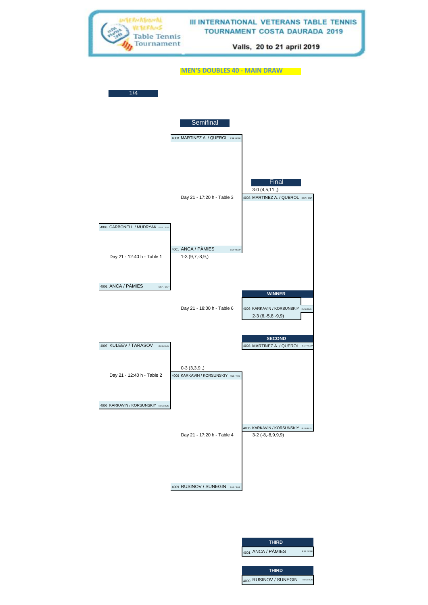

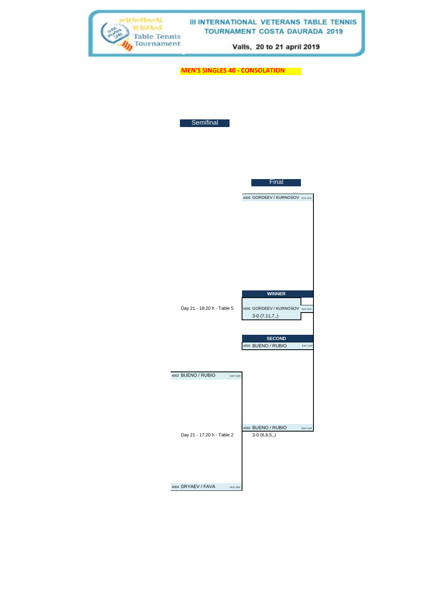| WIERNATIONAL<br><b>Table Tennis</b><br>Tournament |                                       | III INTERNATIONAL VETERANS TABLE TENNIS<br><b>TOURNAMENT COSTA DAURADA 2019</b><br>Valls, 20 to 21 april 2019 |  |
|---------------------------------------------------|---------------------------------------|---------------------------------------------------------------------------------------------------------------|--|
|                                                   | <b>MEN'S SINGLES 40 - CONSOLATION</b> |                                                                                                               |  |
|                                                   | Semifinal                             |                                                                                                               |  |
|                                                   |                                       | Final                                                                                                         |  |
|                                                   |                                       | 4005 GORDEEV / KURNOSOV RUS/RUS                                                                               |  |
|                                                   |                                       |                                                                                                               |  |
|                                                   | Day 21 - 18:20 h - Table 5            | <b>WINNER</b><br>4005 GORDEEV / KURNOSOV RUS/RUS<br>$3-0(7,11,7,)$                                            |  |
|                                                   | 4002 BUENO / RUBIO<br>ESP/ESP         | <b>SECOND</b><br>4002 BUENO / RUBIO<br>ESP/ESP                                                                |  |
|                                                   | Day 21 - 17:20 h - Table 2            | 4002 BUENO / RUBIO<br>ESP/ESP<br>$3-0(6,6,5,.)$                                                               |  |
|                                                   | 4004 DRYAEV / FAVA<br>RUS / ESP       |                                                                                                               |  |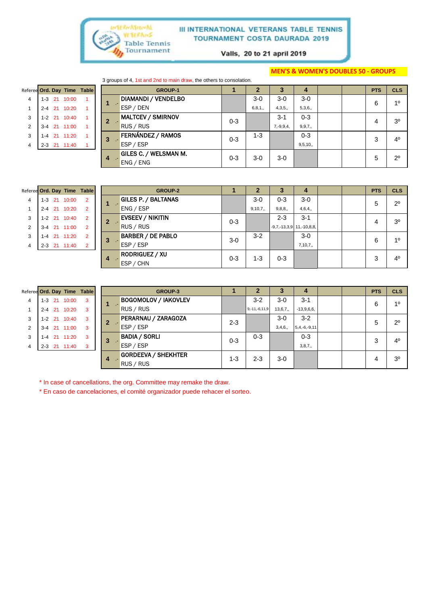

Valls, 20 to 21 april 2019

#### **MEN'S & WOMEN'S DOUBLES 50 - GROUPS**

3 groups of 4, 1st and 2nd to main draw, the others to consolation.

|   |  |              | Referee Ord. Day Time Table |
|---|--|--------------|-----------------------------|
|   |  | 1-3 21 10:00 |                             |
|   |  | 2-4 21 10:20 |                             |
| 3 |  | 1-2 21 10:40 |                             |
| 2 |  | 3-4 21 11:00 |                             |
| 3 |  | 1-4 21 11:20 |                             |
|   |  | 2-3 21 11:40 |                             |
|   |  |              |                             |

|                |         |              | eree Ord. Day Time Table |   | <b>GROUP-1</b>             |         |          | 3       | 4              |          | <b>PTS</b> | <b>CLS</b>     |  |
|----------------|---------|--------------|--------------------------|---|----------------------------|---------|----------|---------|----------------|----------|------------|----------------|--|
| 4              |         | 1-3 21 10:00 |                          |   | <b>DIAMANDI / VENDELBO</b> |         | $3-0$    | $3-0$   | $3-0$          |          | 6          | 10             |  |
| 1              |         | 2-4 21 10:20 |                          |   | ESP / DEN                  |         | 6, 8, 1, | 4,3,5,  | 5,3,6,         |          |            |                |  |
| 3              |         | 1-2 21 10:40 |                          |   | <b>MALTCEV / SMIRNOV</b>   |         |          | $3 - 1$ | $0 - 3$        |          | 4          | 3 <sup>o</sup> |  |
| $\overline{2}$ |         | 3-4 21 11:00 |                          |   | RUS / RUS                  | $0 - 3$ |          |         | $7, -9, 9, 4,$ | 9, 9, 7, |            |                |  |
| 3              | $1 - 4$ | 21 11:20     |                          | 3 | FERNÁNDEZ / RAMOS          | $0 - 3$ | $1 - 3$  |         | $0 - 3$        |          | 3          | 4 <sup>0</sup> |  |
| 4              |         | 2-3 21 11:40 |                          |   | ESP / ESP                  |         |          |         | 9,5,10,        |          |            |                |  |
|                |         |              |                          | 4 | GILES C. / WELSMAN M.      | $0 - 3$ | $3-0$    | $3-0$   |                |          | 5          | $2^{\circ}$    |  |
|                |         |              |                          |   | ENG / ENG                  |         |          |         |                |          |            |                |  |

| Referee Ord. Day Time Table |  |              |                |
|-----------------------------|--|--------------|----------------|
|                             |  | 1-3 21 10:00 | 2              |
|                             |  | 2-4 21 10:20 | $\overline{2}$ |
| 3                           |  | 1-2 21 10:40 | $\overline{2}$ |
| $\overline{2}$              |  | 3-4 21 11:00 | $\overline{2}$ |
| 3                           |  | 1-4 21 11:20 | 2              |
|                             |  | 2-3 21 11:40 | 2              |
|                             |  |              |                |

| Referee Ord. Day Time Table |  |              |                |   | <b>GROUP-2</b>             |         | $\overline{2}$ | 3                           | 4       |  | <b>PTS</b> | <b>CLS</b>     |
|-----------------------------|--|--------------|----------------|---|----------------------------|---------|----------------|-----------------------------|---------|--|------------|----------------|
| $\overline{4}$              |  | 1-3 21 10:00 | $\overline{2}$ |   | <b>GILES P. / BALTANAS</b> |         | $3-0$          | $0 - 3$                     | $3-0$   |  | 5          | $2^{\circ}$    |
|                             |  | 2-4 21 10:20 | $\overline{2}$ |   | ENG / ESP                  |         | 9,10,7,        | 9,8,8,                      | 4,6,4,  |  |            |                |
| 3                           |  | 1-2 21 10:40 | $\overline{2}$ | 2 | <b>EVSEEV / NIKITIN</b>    | $0 - 3$ |                | $2 - 3$                     | $3 - 1$ |  | 4          | 3 <sup>o</sup> |
| 2                           |  | 3-4 21 11:00 | $\overline{2}$ |   | RUS / RUS                  |         |                | $-9,7,-13,3,9$ 11, -10,8,8, |         |  |            |                |
| 3                           |  | 1-4 21 11:20 | $\overline{2}$ | 3 | <b>BARBER / DE PABLO</b>   | $3-0$   | $3 - 2$        |                             | $3-0$   |  | 6          | 10             |
| 4                           |  | 2-3 21 11:40 | 2              |   | ESP / ESP                  |         |                |                             | 7,10,7, |  |            |                |
|                             |  |              |                |   | <b>RODRIGUEZ / XU</b>      | $0 - 3$ | 1-3            | $0 - 3$                     |         |  | 3          | 4 <sup>0</sup> |
|                             |  |              |                | 4 | ESP / CHN                  |         |                |                             |         |  |            |                |

| Referee Ord. Day Time Table |  |              |   |
|-----------------------------|--|--------------|---|
|                             |  | 1-3 21 10:00 | з |
|                             |  | 2-4 21 10:20 | 3 |
| 3                           |  | 1-2 21 10:40 | 3 |
| $\overline{2}$              |  | 3-4 21 11:00 | 3 |
| 3                           |  | 1-4 21 11:20 | 3 |
|                             |  | 2-3 21 11:40 | з |
|                             |  |              |   |

|                |         |              | Referee Ord. Day Time Table |   | <b>GROUP-3</b>              |         |                 | З       | 4                  |  | <b>PTS</b> | <b>CLS</b>     |
|----------------|---------|--------------|-----------------------------|---|-----------------------------|---------|-----------------|---------|--------------------|--|------------|----------------|
| 4              |         | 1-3 21 10:00 | 3                           |   | <b>BOGOMOLOV / IAKOVLEV</b> |         | $3-2$           | $3-0$   | $3 - 1$            |  | 6          | 10             |
|                |         | 2-4 21 10:20 | 3                           |   | <b>RUS / RUS</b>            |         | $9,-11,-6,11,9$ | 13,6,7, | $-13,9,6,6,$       |  |            |                |
| 3              |         | 1-2 21 10:40 | 3                           | 2 | PERARNAU / ZARAGOZA         | $2 - 3$ |                 | $3-0$   | $3-2$              |  | 5          | $2^{\circ}$    |
| 2              | $3 - 4$ | 21 11:00     | 3                           |   | ESP / ESP                   |         |                 | 3,4,6,  | $5, 4, -6, -9, 11$ |  |            |                |
| 3              | $1 - 4$ | 21 11:20     | 3                           | 3 | <b>BADIA / SORLI</b>        | $0 - 3$ | $0 - 3$         |         | $0 - 3$            |  | 3          | 4 <sup>0</sup> |
| $\overline{4}$ |         | 2-3 21 11:40 | 3                           |   | ESP / ESP                   |         |                 |         | 3,8,7,             |  |            |                |
|                |         |              |                             | 4 | <b>GORDEEVA / SHEKHTER</b>  | $1 - 3$ | $2 - 3$         | $3-0$   |                    |  | 4          | 3 <sup>0</sup> |
|                |         |              |                             |   | RUS / RUS                   |         |                 |         |                    |  |            |                |

\* In case of cancellations, the org. Committee may remake the draw.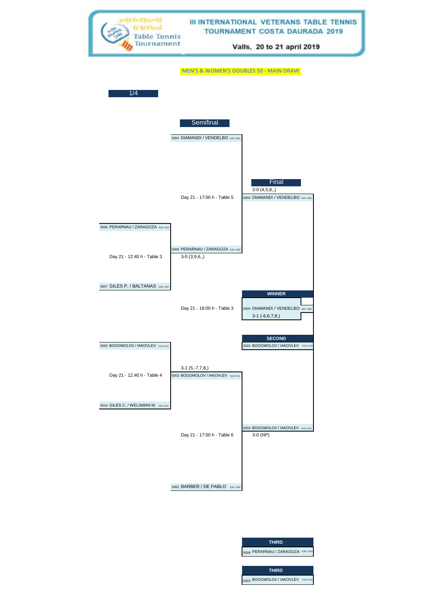

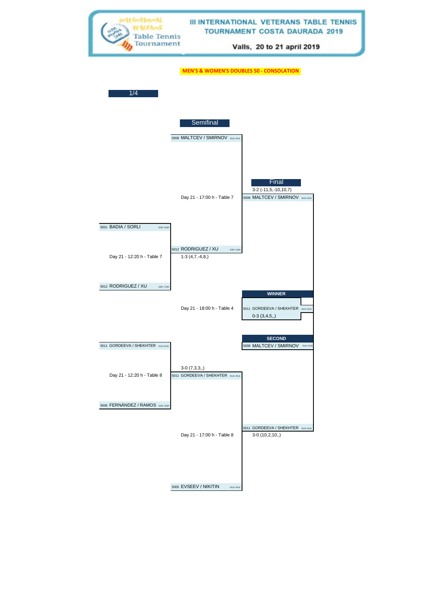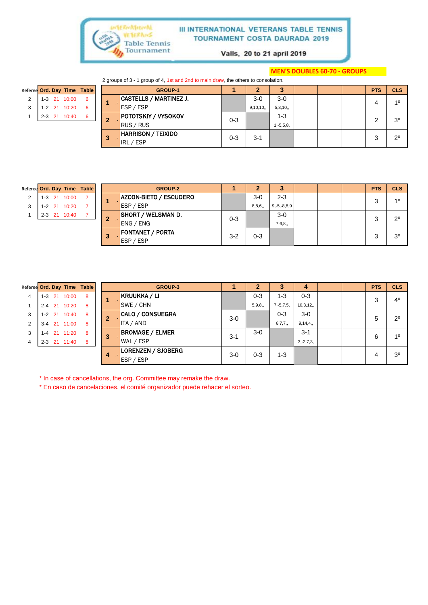

Valls, 20 to 21 april 2019

#### **MEN'S DOUBLES 60-70 - GROUPS**

2 groups of 3 - 1 group of 4, 1st and 2nd to main draw, the others to consolation.

| Referee Ord. Day Time Table |  |              |     |    | <b>GROUP-1</b>                |         |          | -3             |  | <b>PTS</b> | <b>CLS</b>     |
|-----------------------------|--|--------------|-----|----|-------------------------------|---------|----------|----------------|--|------------|----------------|
| 2                           |  | 1-3 21 10:00 | - 6 |    | <b>CASTELLS / MARTINEZ J.</b> |         | $3-0$    | $3-0$          |  | 4          | 10             |
| 3                           |  | 1-2 21 10:20 | -6  |    | ESP / ESP                     |         | 9,10,10, | 5,3,10,        |  |            |                |
|                             |  | 2-3 21 10:40 | - 6 | 2  | <b>POTOTSKIY / VYSOKOV</b>    | $0 - 3$ |          | $1 - 3$        |  | ⌒          | 3 <sup>0</sup> |
|                             |  |              |     |    | RUS / RUS                     |         |          | $1, -5, 5, 8,$ |  | ৴          |                |
|                             |  |              |     | -3 | <b>HARRISON / TEIXIDO</b>     | $0 - 3$ | $3 - 1$  |                |  | 3          | $2^{\circ}$    |
|                             |  |              |     |    | / ESP<br>IRL                  |         |          |                |  |            |                |

| Referee Ord. Day Time Table |  |                |  |
|-----------------------------|--|----------------|--|
|                             |  | $1-3$ 21 10:00 |  |
|                             |  | 1-2 21 10:20   |  |
|                             |  | 2-3 21 10:40   |  |

|   |  |              | Referee Ord. Day Time Table |              | <b>GROUP-2</b> |                                      |         | 2       | 3                 |  | <b>PTS</b> | <b>CLS</b>     |
|---|--|--------------|-----------------------------|--------------|----------------|--------------------------------------|---------|---------|-------------------|--|------------|----------------|
| 2 |  | 1-3 21 10:00 |                             |              |                | AZCON-BIETO / ESCUDERO               |         | $3-0$   | $2 - 3$           |  | 3          | 10             |
| 3 |  | 1-2 21 10:20 |                             |              |                | ESP / ESP                            |         | 8,8,6,  | $9, -5, -8, 8, 9$ |  |            |                |
|   |  | 2-3 21 10:40 |                             | $\mathbf{2}$ |                | <b>SHORT / WELSMAN D.</b>            | $0 - 3$ |         | $3-0$             |  | 3          | $2^{\circ}$    |
|   |  |              |                             |              |                | ENG / ENG                            |         |         | 7,6,8,            |  |            |                |
|   |  |              |                             | 3            |                | <b>FONTANET / PORTA</b><br>ESP / ESP | $3 - 2$ | $0 - 3$ |                   |  | 3          | 3 <sup>o</sup> |
|   |  |              |                             |              |                |                                      |         |         |                   |  |            |                |

| Referee Ord. Day Time Table |  |              |   |
|-----------------------------|--|--------------|---|
|                             |  | 1-3 21 10:00 | 8 |
|                             |  | 2-4 21 10:20 | 8 |
| 3                           |  | 1-2 21 10:40 | 8 |
| $\overline{2}$              |  | 3-4 21 11:00 | 8 |
| 3                           |  | 1-4 21 11:20 | 8 |
|                             |  | 2-3 21 11:40 | 8 |
|                             |  |              |   |

| Referee Ord. Day Time Table |         |              |   |    | <b>GROUP-3</b>            |         | $\overline{2}$ | 3              | 4              |  | <b>PTS</b> | <b>CLS</b>     |
|-----------------------------|---------|--------------|---|----|---------------------------|---------|----------------|----------------|----------------|--|------------|----------------|
| 4                           |         | 1-3 21 10:00 | 8 | A. | <b>KRUUKKA / LI</b>       |         | $0 - 3$        | $1 - 3$        | $0 - 3$        |  | 3          | $4^{\circ}$    |
|                             |         | 2-4 21 10:20 | 8 |    | SWE / CHN                 |         | 5,9,8,         | $7, -5, 7, 5,$ | 10,3,12,       |  |            |                |
| 3                           |         | 1-2 21 10:40 | 8 | 2  | <b>CALO / CONSUEGRA</b>   | $3-0$   |                | $0 - 3$        | $3-0$          |  | 5          | $2^{\circ}$    |
| 2                           |         | 3-4 21 11:00 | 8 |    | ITA / AND                 |         |                | 6,7,7,         | 9,14,4,        |  |            |                |
| 3                           | $1 - 4$ | 21 11:20     | 8 | 3  | <b>BROMAGE / ELMER</b>    | $3 - 1$ | $3-0$          |                | $3 - 1$        |  | 6          | 10             |
| 4                           |         | 2-3 21 11:40 | 8 |    | WAL / ESP                 |         |                |                | $3, -2, 7, 3,$ |  |            |                |
|                             |         |              |   | 4  | <b>LORENZEN / SJOBERG</b> | $3-0$   | $0 - 3$        | $1 - 3$        |                |  | 4          | 3 <sup>0</sup> |
|                             |         |              |   |    | ESP / ESP                 |         |                |                |                |  |            |                |

\* In case of cancellations, the org. Committee may remake the draw.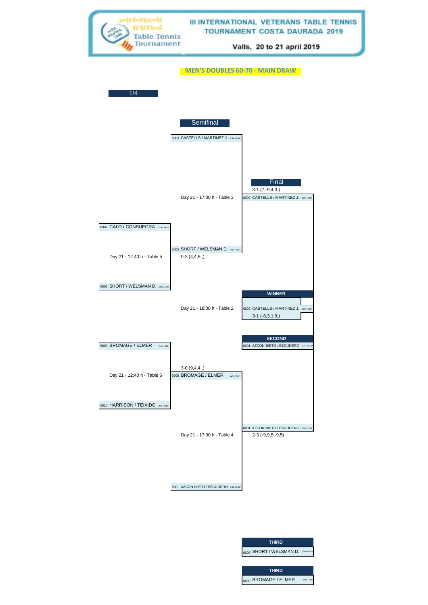

0-1 (0,,,,) **THIRD BOOS SHORT / WELSMAN D. ENG THIRD**  6009 BROMAGE / ELMER WALLE